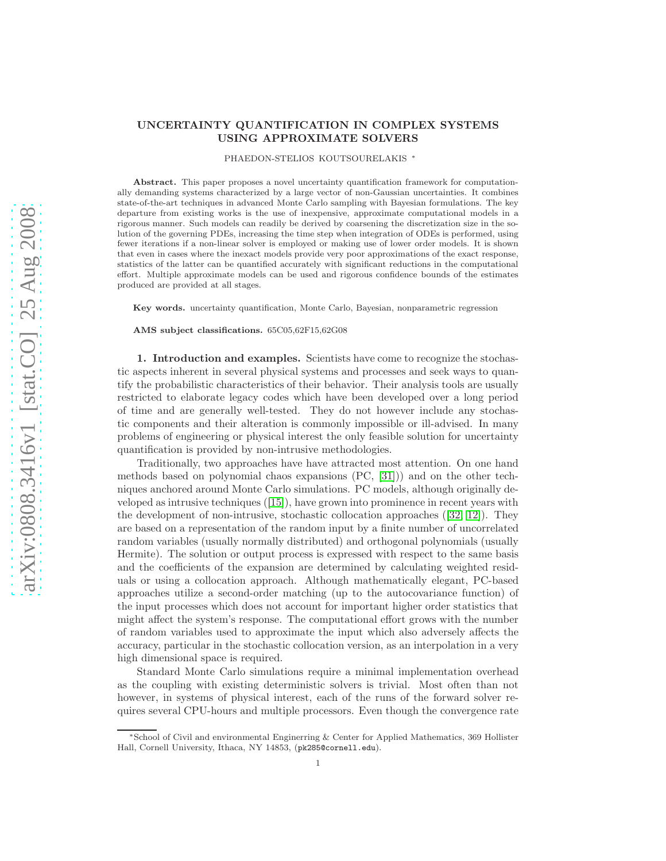# UNCERTAINTY QUANTIFICATION IN COMPLEX SYSTEMS USING APPROXIMATE SOLVERS

PHAEDON-STELIOS KOUTSOURELAKIS <sup>∗</sup>

Abstract. This paper proposes a novel uncertainty quantification framework for computationally demanding systems characterized by a large vector of non-Gaussian uncertainties. It combines state-of-the-art techniques in advanced Monte Carlo sampling with Bayesian formulations. The key departure from existing works is the use of inexpensive, approximate computational models in a rigorous manner. Such models can readily be derived by coarsening the discretization size in the solution of the governing PDEs, increasing the time step when integration of ODEs is performed, using fewer iterations if a non-linear solver is employed or making use of lower order models. It is shown that even in cases where the inexact models provide very poor approximations of the exact response, statistics of the latter can be quantified accurately with significant reductions in the computational effort. Multiple approximate models can be used and rigorous confidence bounds of the estimates produced are provided at all stages.

Key words. uncertainty quantification, Monte Carlo, Bayesian, nonparametric regression

AMS subject classifications. 65C05,62F15,62G08

1. Introduction and examples. Scientists have come to recognize the stochastic aspects inherent in several physical systems and processes and seek ways to quantify the probabilistic characteristics of their behavior. Their analysis tools are usually restricted to elaborate legacy codes which have been developed over a long period of time and are generally well-tested. They do not however include any stochastic components and their alteration is commonly impossible or ill-advised. In many problems of engineering or physical interest the only feasible solution for uncertainty quantification is provided by non-intrusive methodologies.

Traditionally, two approaches have have attracted most attention. On one hand methods based on polynomial chaos expansions (PC, [\[31\]](#page-26-0))) and on the other techniques anchored around Monte Carlo simulations. PC models, although originally developed as intrusive techniques([\[15\]](#page-26-1)), have grown into prominence in recent years with the development of non-intrusive, stochastic collocation approaches([\[32,](#page-26-2) [12\]](#page-26-3)). They are based on a representation of the random input by a finite number of uncorrelated random variables (usually normally distributed) and orthogonal polynomials (usually Hermite). The solution or output process is expressed with respect to the same basis and the coefficients of the expansion are determined by calculating weighted residuals or using a collocation approach. Although mathematically elegant, PC-based approaches utilize a second-order matching (up to the autocovariance function) of the input processes which does not account for important higher order statistics that might affect the system's response. The computational effort grows with the number of random variables used to approximate the input which also adversely affects the accuracy, particular in the stochastic collocation version, as an interpolation in a very high dimensional space is required.

Standard Monte Carlo simulations require a minimal implementation overhead as the coupling with existing deterministic solvers is trivial. Most often than not however, in systems of physical interest, each of the runs of the forward solver requires several CPU-hours and multiple processors. Even though the convergence rate

<sup>∗</sup>School of Civil and environmental Enginerring & Center for Applied Mathematics, 369 Hollister Hall, Cornell University, Ithaca, NY 14853, (pk285@cornell.edu).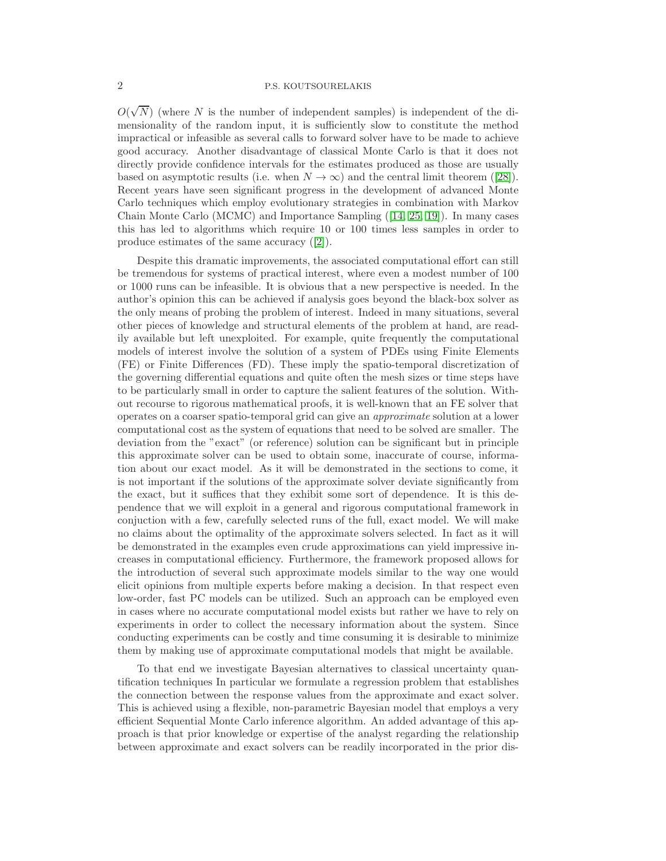$O(\sqrt{N})$  (where N is the number of independent samples) is independent of the dimensionality of the random input, it is sufficiently slow to constitute the method impractical or infeasible as several calls to forward solver have to be made to achieve good accuracy. Another disadvantage of classical Monte Carlo is that it does not directly provide confidence intervals for the estimates produced as those are usually basedon asymptotic results (i.e. when  $N \to \infty$ ) and the central limit theorem ([\[28\]](#page-26-4)). Recent years have seen significant progress in the development of advanced Monte Carlo techniques which employ evolutionary strategies in combination with Markov Chain Monte Carlo (MCMC) and Importance Sampling([\[14,](#page-26-5) [25,](#page-26-6) [19\]](#page-26-7)). In many cases this has led to algorithms which require 10 or 100 times less samples in order to produce estimates of the same accuracy([\[2\]](#page-25-0)).

Despite this dramatic improvements, the associated computational effort can still be tremendous for systems of practical interest, where even a modest number of 100 or 1000 runs can be infeasible. It is obvious that a new perspective is needed. In the author's opinion this can be achieved if analysis goes beyond the black-box solver as the only means of probing the problem of interest. Indeed in many situations, several other pieces of knowledge and structural elements of the problem at hand, are readily available but left unexploited. For example, quite frequently the computational models of interest involve the solution of a system of PDEs using Finite Elements (FE) or Finite Differences (FD). These imply the spatio-temporal discretization of the governing differential equations and quite often the mesh sizes or time steps have to be particularly small in order to capture the salient features of the solution. Without recourse to rigorous mathematical proofs, it is well-known that an FE solver that operates on a coarser spatio-temporal grid can give an approximate solution at a lower computational cost as the system of equations that need to be solved are smaller. The deviation from the "exact" (or reference) solution can be significant but in principle this approximate solver can be used to obtain some, inaccurate of course, information about our exact model. As it will be demonstrated in the sections to come, it is not important if the solutions of the approximate solver deviate significantly from the exact, but it suffices that they exhibit some sort of dependence. It is this dependence that we will exploit in a general and rigorous computational framework in conjuction with a few, carefully selected runs of the full, exact model. We will make no claims about the optimality of the approximate solvers selected. In fact as it will be demonstrated in the examples even crude approximations can yield impressive increases in computational efficiency. Furthermore, the framework proposed allows for the introduction of several such approximate models similar to the way one would elicit opinions from multiple experts before making a decision. In that respect even low-order, fast PC models can be utilized. Such an approach can be employed even in cases where no accurate computational model exists but rather we have to rely on experiments in order to collect the necessary information about the system. Since conducting experiments can be costly and time consuming it is desirable to minimize them by making use of approximate computational models that might be available.

To that end we investigate Bayesian alternatives to classical uncertainty quantification techniques In particular we formulate a regression problem that establishes the connection between the response values from the approximate and exact solver. This is achieved using a flexible, non-parametric Bayesian model that employs a very efficient Sequential Monte Carlo inference algorithm. An added advantage of this approach is that prior knowledge or expertise of the analyst regarding the relationship between approximate and exact solvers can be readily incorporated in the prior dis-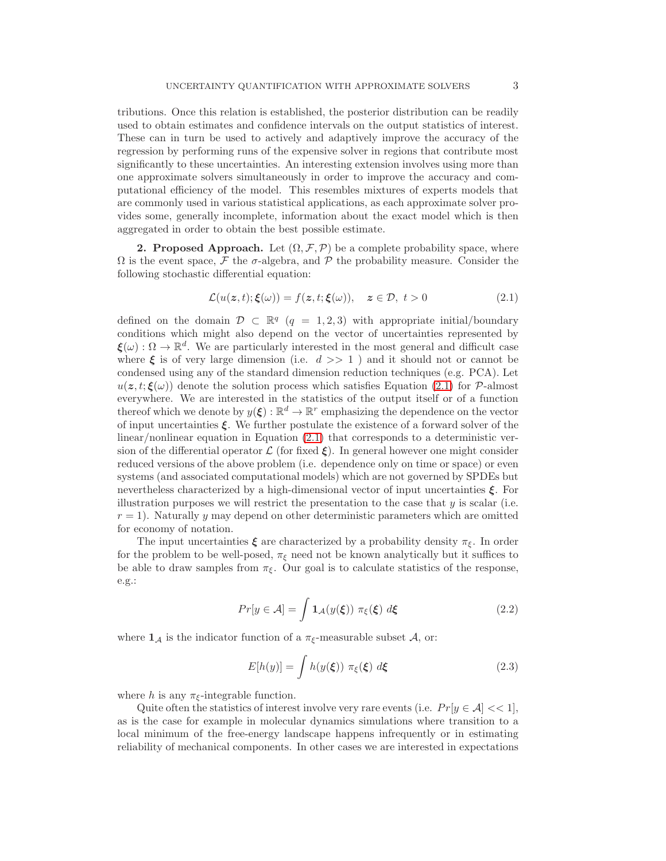tributions. Once this relation is established, the posterior distribution can be readily used to obtain estimates and confidence intervals on the output statistics of interest. These can in turn be used to actively and adaptively improve the accuracy of the regression by performing runs of the expensive solver in regions that contribute most significantly to these uncertainties. An interesting extension involves using more than one approximate solvers simultaneously in order to improve the accuracy and computational efficiency of the model. This resembles mixtures of experts models that are commonly used in various statistical applications, as each approximate solver provides some, generally incomplete, information about the exact model which is then aggregated in order to obtain the best possible estimate.

2. Proposed Approach. Let  $(\Omega, \mathcal{F}, \mathcal{P})$  be a complete probability space, where  $\Omega$  is the event space, F the  $\sigma$ -algebra, and P the probability measure. Consider the following stochastic differential equation:

<span id="page-2-0"></span>
$$
\mathcal{L}(u(z,t); \xi(\omega)) = f(z,t; \xi(\omega)), \quad z \in \mathcal{D}, \ t > 0 \tag{2.1}
$$

defined on the domain  $\mathcal{D} \subset \mathbb{R}^q$  ( $q = 1, 2, 3$ ) with appropriate initial/boundary conditions which might also depend on the vector of uncertainties represented by  $\xi(\omega): \Omega \to \mathbb{R}^d$ . We are particularly interested in the most general and difficult case where  $\xi$  is of very large dimension (i.e.  $d \gg 1$  ) and it should not or cannot be condensed using any of the standard dimension reduction techniques (e.g. PCA). Let  $u(z, t; \xi(\omega))$  denote the solution process which satisfies Equation [\(2.1\)](#page-2-0) for P-almost everywhere. We are interested in the statistics of the output itself or of a function thereof which we denote by  $y(\xi) : \mathbb{R}^d \to \mathbb{R}^r$  emphasizing the dependence on the vector of input uncertainties  $\xi$ . We further postulate the existence of a forward solver of the linear/nonlinear equation in Equation [\(2.1\)](#page-2-0) that corresponds to a deterministic version of the differential operator  $\mathcal L$  (for fixed  $\xi$ ). In general however one might consider reduced versions of the above problem (i.e. dependence only on time or space) or even systems (and associated computational models) which are not governed by SPDEs but nevertheless characterized by a high-dimensional vector of input uncertainties  $\xi$ . For illustration purposes we will restrict the presentation to the case that  $y$  is scalar (i.e.  $r = 1$ . Naturally y may depend on other deterministic parameters which are omitted for economy of notation.

The input uncertainties  $\xi$  are characterized by a probability density  $\pi_{\xi}$ . In order for the problem to be well-posed,  $\pi_{\xi}$  need not be known analytically but it suffices to be able to draw samples from  $\pi_{\xi}$ . Our goal is to calculate statistics of the response, e.g.:

<span id="page-2-1"></span>
$$
Pr[y \in \mathcal{A}] = \int \mathbf{1}_{\mathcal{A}}(y(\xi)) \ \pi_{\xi}(\xi) \ d\xi \tag{2.2}
$$

where  $\mathbf{1}_{\mathcal{A}}$  is the indicator function of a  $\pi_{\xi}$ -measurable subset  $\mathcal{A}$ , or:

<span id="page-2-2"></span>
$$
E[h(y)] = \int h(y(\xi)) \ \pi_{\xi}(\xi) \ d\xi \tag{2.3}
$$

where h is any  $\pi_{\xi}$ -integrable function.

Quite often the statistics of interest involve very rare events (i.e.  $Pr[y \in \mathcal{A}] \ll 1$ ), as is the case for example in molecular dynamics simulations where transition to a local minimum of the free-energy landscape happens infrequently or in estimating reliability of mechanical components. In other cases we are interested in expectations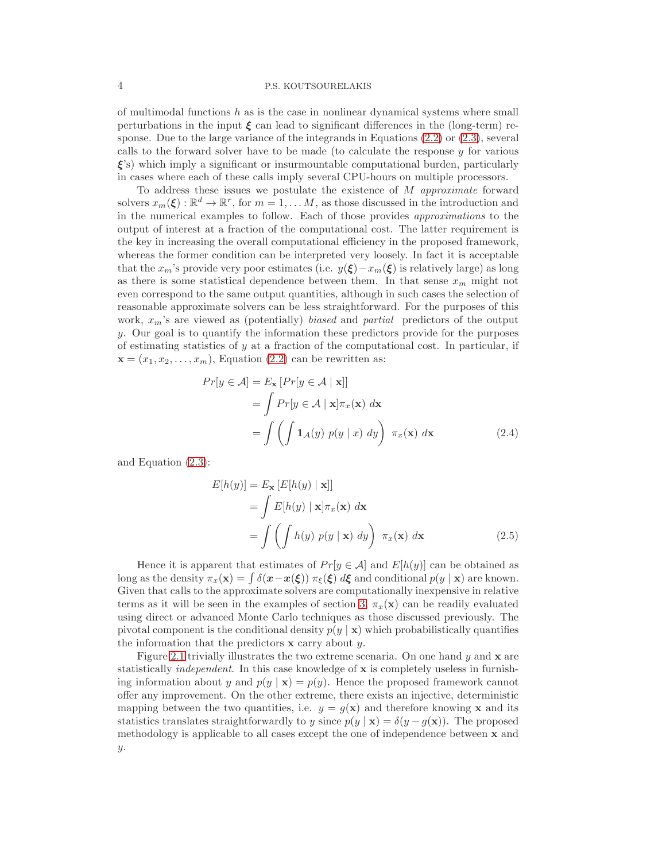of multimodal functions  $h$  as is the case in nonlinear dynamical systems where small perturbations in the input  $\xi$  can lead to significant differences in the (long-term) response. Due to the large variance of the integrands in Equations [\(2.2\)](#page-2-1) or [\(2.3\)](#page-2-2), several calls to the forward solver have to be made (to calculate the response  $y$  for various  $\xi$ 's) which imply a significant or insurmountable computational burden, particularly in cases where each of these calls imply several CPU-hours on multiple processors.

To address these issues we postulate the existence of  $M$  approximate forward solvers  $x_m(\xi) : \mathbb{R}^d \to \mathbb{R}^r$ , for  $m = 1, ..., M$ , as those discussed in the introduction and in the numerical examples to follow. Each of those provides approximations to the output of interest at a fraction of the computational cost. The latter requirement is the key in increasing the overall computational efficiency in the proposed framework, whereas the former condition can be interpreted very loosely. In fact it is acceptable that the  $x_m$ 's provide very poor estimates (i.e.  $y(\xi)-x_m(\xi)$ ) is relatively large) as long as there is some statistical dependence between them. In that sense  $x_m$  might not even correspond to the same output quantities, although in such cases the selection of reasonable approximate solvers can be less straightforward. For the purposes of this work,  $x_m$ 's are viewed as (potentially) biased and partial predictors of the output y. Our goal is to quantify the information these predictors provide for the purposes of estimating statistics of  $y$  at a fraction of the computational cost. In particular, if  $\mathbf{x} = (x_1, x_2, \dots, x_m)$ , Equation [\(2.2\)](#page-2-1) can be rewritten as:

<span id="page-3-0"></span>
$$
Pr[y \in A] = E_{\mathbf{x}} [Pr[y \in A | \mathbf{x}]]
$$
  
=  $\int Pr[y \in A | \mathbf{x}] \pi_x(\mathbf{x}) d\mathbf{x}$   
=  $\int \left( \int \mathbf{1}_A(y) p(y | x) dy \right) \pi_x(\mathbf{x}) d\mathbf{x}$  (2.4)

and Equation [\(2.3\)](#page-2-2):

<span id="page-3-1"></span>
$$
E[h(y)] = E_{\mathbf{x}} [E[h(y) | \mathbf{x}]]
$$
  
= 
$$
\int E[h(y) | \mathbf{x}] \pi_x(\mathbf{x}) d\mathbf{x}
$$
  
= 
$$
\int \left( \int h(y) p(y | \mathbf{x}) dy \right) \pi_x(\mathbf{x}) d\mathbf{x}
$$
 (2.5)

Hence it is apparent that estimates of  $Pr[y \in A]$  and  $E[h(y)]$  can be obtained as long as the density  $\pi_x(\mathbf{x}) = \int \delta(\mathbf{x}-\mathbf{x}(\boldsymbol{\xi})) \pi_{\boldsymbol{\xi}}(\boldsymbol{\xi}) d\boldsymbol{\xi}$  and conditional  $p(y | \mathbf{x})$  are known. Given that calls to the approximate solvers are computationally inexpensive in relative terms as it will be seen in the examples of section [3,](#page-16-0)  $\pi_x(\mathbf{x})$  can be readily evaluated using direct or advanced Monte Carlo techniques as those discussed previously. The pivotal component is the conditional density  $p(y | x)$  which probabilistically quantifies the information that the predictors  $x$  carry about  $y$ .

Figure [2.1](#page-18-0) trivially illustrates the two extreme scenaria. On one hand  $y$  and  $x$  are statistically independent. In this case knowledge of x is completely useless in furnishing information about y and  $p(y | x) = p(y)$ . Hence the proposed framework cannot offer any improvement. On the other extreme, there exists an injective, deterministic mapping between the two quantities, i.e.  $y = g(\mathbf{x})$  and therefore knowing x and its statistics translates straightforwardly to y since  $p(y | x) = \delta(y - g(x))$ . The proposed methodology is applicable to all cases except the one of independence between x and y.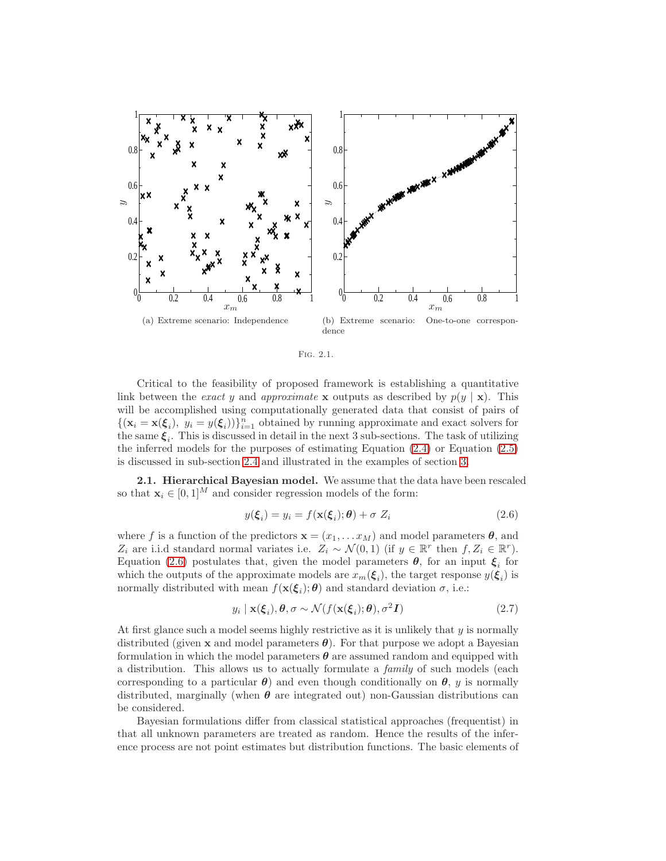

Fig. 2.1.

Critical to the feasibility of proposed framework is establishing a quantitative link between the *exact* y and *approximate* **x** outputs as described by  $p(y | \mathbf{x})$ . This will be accomplished using computationally generated data that consist of pairs of  $\{(\mathbf{x}_i = \mathbf{x}(\boldsymbol{\xi}_i), y_i = y(\boldsymbol{\xi}_i))\}_{i=1}^n$  obtained by running approximate and exact solvers for the same  $\xi_i$ . This is discussed in detail in the next 3 sub-sections. The task of utilizing the inferred models for the purposes of estimating Equation [\(2.4\)](#page-3-0) or Equation [\(2.5\)](#page-3-1) is discussed in sub-section [2.4](#page-14-0) and illustrated in the examples of section [3.](#page-16-0)

2.1. Hierarchical Bayesian model. We assume that the data have been rescaled so that  $\mathbf{x}_i \in [0, 1]^M$  and consider regression models of the form:

<span id="page-4-0"></span>
$$
y(\xi_i) = y_i = f(\mathbf{x}(\xi_i); \boldsymbol{\theta}) + \sigma Z_i
$$
\n(2.6)

where f is a function of the predictors  $\mathbf{x} = (x_1, \dots, x_M)$  and model parameters  $\theta$ , and Z<sub>i</sub> are i.i.d standard normal variates i.e.  $Z_i \sim \mathcal{N}(0, 1)$  (if  $y \in \mathbb{R}^r$  then  $f, Z_i \in \mathbb{R}^r$ ). Equation [\(2.6\)](#page-4-0) postulates that, given the model parameters  $\theta$ , for an input  $\xi_i$  for which the outputs of the approximate models are  $x_m(\xi_i)$ , the target response  $y(\xi_i)$  is normally distributed with mean  $f(\mathbf{x}(\boldsymbol{\xi}_i); \boldsymbol{\theta})$  and standard deviation  $\sigma$ , i.e.:

<span id="page-4-1"></span>
$$
y_i \mid \mathbf{x}(\xi_i), \theta, \sigma \sim \mathcal{N}(f(\mathbf{x}(\xi_i); \theta), \sigma^2 \mathbf{I})
$$
\n(2.7)

At first glance such a model seems highly restrictive as it is unlikely that  $y$  is normally distributed (given x and model parameters  $\theta$ ). For that purpose we adopt a Bayesian formulation in which the model parameters  $\theta$  are assumed random and equipped with a distribution. This allows us to actually formulate a family of such models (each corresponding to a particular  $\theta$ ) and even though conditionally on  $\theta$ , y is normally distributed, marginally (when  $\theta$  are integrated out) non-Gaussian distributions can be considered.

Bayesian formulations differ from classical statistical approaches (frequentist) in that all unknown parameters are treated as random. Hence the results of the inference process are not point estimates but distribution functions. The basic elements of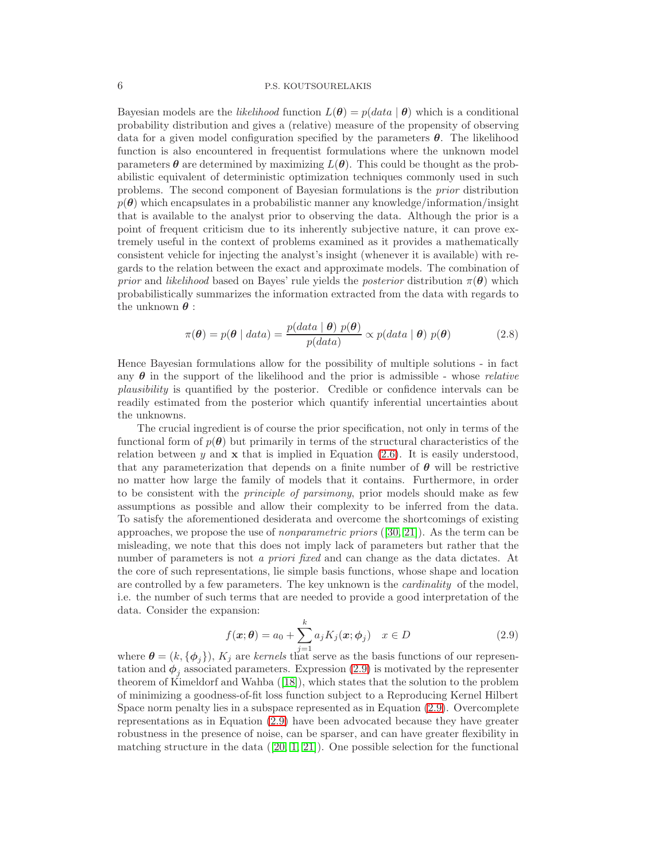Bayesian models are the *likelihood* function  $L(\theta) = p(data \mid \theta)$  which is a conditional probability distribution and gives a (relative) measure of the propensity of observing data for a given model configuration specified by the parameters  $\theta$ . The likelihood function is also encountered in frequentist formulations where the unknown model parameters  $\theta$  are determined by maximizing  $L(\theta)$ . This could be thought as the probabilistic equivalent of deterministic optimization techniques commonly used in such problems. The second component of Bayesian formulations is the prior distribution  $p(\theta)$  which encapsulates in a probabilistic manner any knowledge/information/insight that is available to the analyst prior to observing the data. Although the prior is a point of frequent criticism due to its inherently subjective nature, it can prove extremely useful in the context of problems examined as it provides a mathematically consistent vehicle for injecting the analyst's insight (whenever it is available) with regards to the relation between the exact and approximate models. The combination of prior and likelihood based on Bayes' rule yields the posterior distribution  $\pi(\theta)$  which probabilistically summarizes the information extracted from the data with regards to the unknown  $\theta$ :

<span id="page-5-1"></span>
$$
\pi(\boldsymbol{\theta}) = p(\boldsymbol{\theta} \mid data) = \frac{p(data \mid \boldsymbol{\theta}) \ p(\boldsymbol{\theta})}{p(data)} \propto p(data \mid \boldsymbol{\theta}) \ p(\boldsymbol{\theta}) \tag{2.8}
$$

Hence Bayesian formulations allow for the possibility of multiple solutions - in fact any  $\theta$  in the support of the likelihood and the prior is admissible - whose *relative* plausibility is quantified by the posterior. Credible or confidence intervals can be readily estimated from the posterior which quantify inferential uncertainties about the unknowns.

The crucial ingredient is of course the prior specification, not only in terms of the functional form of  $p(\theta)$  but primarily in terms of the structural characteristics of the relation between  $y$  and  $x$  that is implied in Equation [\(2.6\)](#page-4-0). It is easily understood, that any parameterization that depends on a finite number of  $\theta$  will be restrictive no matter how large the family of models that it contains. Furthermore, in order to be consistent with the principle of parsimony, prior models should make as few assumptions as possible and allow their complexity to be inferred from the data. To satisfy the aforementioned desiderata and overcome the shortcomings of existing approaches, we propose the use of nonparametric priors ([\[30,](#page-26-8) [21\]](#page-26-9)). As the term can be misleading, we note that this does not imply lack of parameters but rather that the number of parameters is not a *priori fixed* and can change as the data dictates. At the core of such representations, lie simple basis functions, whose shape and location are controlled by a few parameters. The key unknown is the cardinality of the model, i.e. the number of such terms that are needed to provide a good interpretation of the data. Consider the expansion:

<span id="page-5-0"></span>
$$
f(\boldsymbol{x};\boldsymbol{\theta}) = a_0 + \sum_{i=1}^{k} a_j K_j(\boldsymbol{x};\boldsymbol{\phi}_j) \quad x \in D \tag{2.9}
$$

where  $\boldsymbol{\theta} = (k, {\{\boldsymbol{\phi}_j\}}), K_j$  are kernels that serve as the basis functions of our representation and  $\phi_j$  associated parameters. Expression [\(2.9\)](#page-5-0) is motivated by the representer theorem of Kimeldorf and Wahba([\[18\]](#page-26-10)), which states that the solution to the problem of minimizing a goodness-of-fit loss function subject to a Reproducing Kernel Hilbert Space norm penalty lies in a subspace represented as in Equation [\(2.9\)](#page-5-0). Overcomplete representations as in Equation [\(2.9\)](#page-5-0) have been advocated because they have greater robustness in the presence of noise, can be sparser, and can have greater flexibility in matchingstructure in the data  $([20, 1, 21])$  $([20, 1, 21])$  $([20, 1, 21])$  $([20, 1, 21])$  $([20, 1, 21])$ . One possible selection for the functional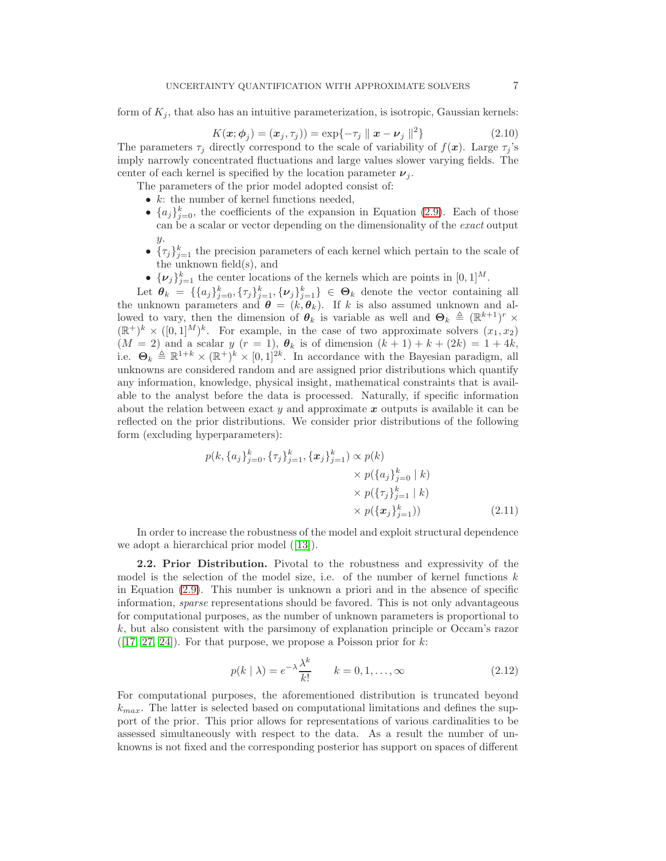form of  $K_j$ , that also has an intuitive parameterization, is isotropic, Gaussian kernels:

$$
K(\boldsymbol{x};\boldsymbol{\phi}_j) = (\boldsymbol{x}_j,\tau_j)) = \exp\{-\tau_j \parallel \boldsymbol{x} - \boldsymbol{\nu}_j \parallel^2\}
$$
\n(2.10)

The parameters  $\tau_j$  directly correspond to the scale of variability of  $f(\mathbf{x})$ . Large  $\tau_j$ 's imply narrowly concentrated fluctuations and large values slower varying fields. The center of each kernel is specified by the location parameter  $\nu_i$ .

The parameters of the prior model adopted consist of:

- $k$ : the number of kernel functions needed,
- $\{a_j\}_{j=0}^k$ , the coefficients of the expansion in Equation [\(2.9\)](#page-5-0). Each of those can be a scalar or vector depending on the dimensionality of the exact output y.
- $\{\tau_j\}_{j=1}^k$  the precision parameters of each kernel which pertain to the scale of the unknown field(s), and
- $\{\nu_j\}_{j=1}^k$  the center locations of the kernels which are points in  $[0,1]^M$ .

Let  $\theta_k = \{\{a_j\}_{j=0}^k, \{\tau_j\}_{j=1}^k, \{\nu_j\}_{j=1}^k\} \in \Theta_k$  denote the vector containing all the unknown parameters and  $\boldsymbol{\theta} = (k, \boldsymbol{\theta}_k)$ . If k is also assumed unknown and allowed to vary, then the dimension of  $\theta_k$  is variable as well and  $\Theta_k \triangleq (\mathbb{R}^{k+1})^r \times$  $(\mathbb{R}^+)^k \times ([0,1]^M)^k$ . For example, in the case of two approximate solvers  $(x_1, x_2)$  $(M = 2)$  and a scalar y  $(r = 1)$ ,  $\theta_k$  is of dimension  $(k + 1) + k + (2k) = 1 + 4k$ , i.e.  $\Theta_k \triangleq \mathbb{R}^{1+k} \times (\mathbb{R}^+)^k \times [0,1]^{2k}$ . In accordance with the Bayesian paradigm, all unknowns are considered random and are assigned prior distributions which quantify any information, knowledge, physical insight, mathematical constraints that is available to the analyst before the data is processed. Naturally, if specific information about the relation between exact y and approximate  $x$  outputs is available it can be reflected on the prior distributions. We consider prior distributions of the following form (excluding hyperparameters):

$$
p(k, \{a_j\}_{j=0}^k, \{\tau_j\}_{j=1}^k, \{\boldsymbol{x}_j\}_{j=1}^k) \propto p(k) \times p(\{a_j\}_{j=0}^k | k) \times p(\{\tau_j\}_{j=1}^k | k) \times p(\{\tau_j\}_{j=1}^k | k) \times p(\{\boldsymbol{x}_j\}_{j=1}^k)) \tag{2.11}
$$

In order to increase the robustness of the model and exploit structural dependence weadopt a hierarchical prior model  $([13])$  $([13])$  $([13])$ .

<span id="page-6-0"></span>2.2. Prior Distribution. Pivotal to the robustness and expressivity of the model is the selection of the model size, i.e. of the number of kernel functions  $k$ in Equation [\(2.9\)](#page-5-0). This number is unknown a priori and in the absence of specific information, sparse representations should be favored. This is not only advantageous for computational purposes, as the number of unknown parameters is proportional to k, but also consistent with the parsimony of explanation principle or Occam's razor  $([17, 27, 24])$  $([17, 27, 24])$  $([17, 27, 24])$  $([17, 27, 24])$  $([17, 27, 24])$ . For that purpose, we propose a Poisson prior for k:

$$
p(k | \lambda) = e^{-\lambda} \frac{\lambda^k}{k!} \qquad k = 0, 1, \dots, \infty
$$
 (2.12)

For computational purposes, the aforementioned distribution is truncated beyond  $k_{max}$ . The latter is selected based on computational limitations and defines the support of the prior. This prior allows for representations of various cardinalities to be assessed simultaneously with respect to the data. As a result the number of unknowns is not fixed and the corresponding posterior has support on spaces of different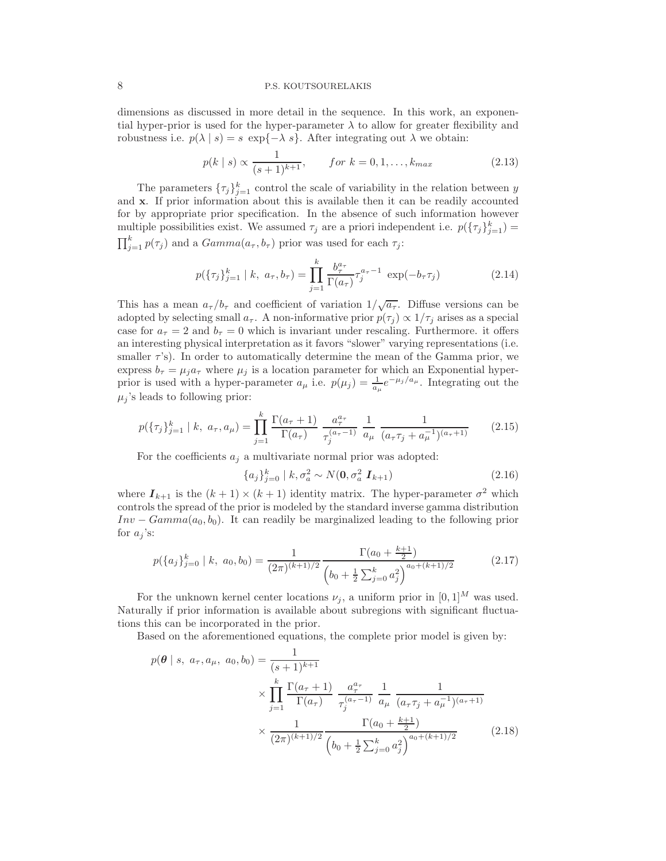dimensions as discussed in more detail in the sequence. In this work, an exponential hyper-prior is used for the hyper-parameter  $\lambda$  to allow for greater flexibility and robustness i.e.  $p(\lambda | s) = s \exp\{-\lambda s\}$ . After integrating out  $\lambda$  we obtain:

<span id="page-7-1"></span>
$$
p(k \mid s) \propto \frac{1}{(s+1)^{k+1}}, \qquad \text{for } k = 0, 1, \dots, k_{\text{max}} \tag{2.13}
$$

The parameters  $\{\tau_j\}_{j=1}^k$  control the scale of variability in the relation between y and x. If prior information about this is available then it can be readily accounted for by appropriate prior specification. In the absence of such information however multiple possibilities exist. We assumed  $\tau_j$  are a priori independent i.e.  $p(\{\tau_j\}_{j=1}^k)$  =  $\prod_{j=1}^{k} p(\tau_j)$  and a  $Gamma(a_\tau, b_\tau)$  prior was used for each  $\tau_j$ :

<span id="page-7-3"></span>
$$
p(\{\tau_j\}_{j=1}^k \mid k, \ a_{\tau}, b_{\tau}) = \prod_{j=1}^k \frac{b_{\tau}^{a_{\tau}}}{\Gamma(a_{\tau})} \tau_j^{a_{\tau}-1} \exp(-b_{\tau} \tau_j)
$$
(2.14)

This has a mean  $a_{\tau}/b_{\tau}$  and coefficient of variation  $1/\sqrt{a_{\tau}}$ . Diffuse versions can be adopted by selecting small  $a_{\tau}$ . A non-informative prior  $p(\tau_i) \propto 1/\tau_i$  arises as a special case for  $a_{\tau} = 2$  and  $b_{\tau} = 0$  which is invariant under rescaling. Furthermore. it offers an interesting physical interpretation as it favors "slower" varying representations (i.e. smaller  $\tau$ 's). In order to automatically determine the mean of the Gamma prior, we express  $b_{\tau} = \mu_j a_{\tau}$  where  $\mu_j$  is a location parameter for which an Exponential hyperprior is used with a hyper-parameter  $a_{\mu}$  i.e.  $p(\mu_j) = \frac{1}{a_{\mu}} e^{-\mu_j/a_{\mu}}$ . Integrating out the  $\mu_i$ 's leads to following prior:

<span id="page-7-2"></span>
$$
p(\{\tau_j\}_{j=1}^k \mid k, a_\tau, a_\mu) = \prod_{j=1}^k \frac{\Gamma(a_\tau + 1)}{\Gamma(a_\tau)} \frac{a_\tau^{a_\tau}}{\tau_j^{(a_\tau - 1)}} \frac{1}{a_\mu} \frac{1}{(a_\tau \tau_j + a_\mu^{-1})^{(a_\tau + 1)}} \tag{2.15}
$$

For the coefficients  $a_i$  a multivariate normal prior was adopted:

$$
\{a_j\}_{j=0}^k \mid k, \sigma_a^2 \sim N(\mathbf{0}, \sigma_a^2 \mathbf{I}_{k+1}) \tag{2.16}
$$

where  $I_{k+1}$  is the  $(k+1) \times (k+1)$  identity matrix. The hyper-parameter  $\sigma^2$  which controls the spread of the prior is modeled by the standard inverse gamma distribution  $Inv - Gamma(a_0, b_0)$ . It can readily be marginalized leading to the following prior for  $a_i$ 's:

<span id="page-7-4"></span>
$$
p(\lbrace a_j \rbrace_{j=0}^k \mid k, a_0, b_0) = \frac{1}{(2\pi)^{(k+1)/2}} \frac{\Gamma(a_0 + \frac{k+1}{2})}{\left(b_0 + \frac{1}{2} \sum_{j=0}^k a_j^2\right)^{a_0 + (k+1)/2}}
$$
(2.17)

For the unknown kernel center locations  $\nu_j$ , a uniform prior in  $[0, 1]^M$  was used. Naturally if prior information is available about subregions with significant fluctuations this can be incorporated in the prior.

Based on the aforementioned equations, the complete prior model is given by:

<span id="page-7-0"></span>
$$
p(\theta \mid s, a_{\tau}, a_{\mu}, a_0, b_0) = \frac{1}{(s+1)^{k+1}} \times \prod_{j=1}^k \frac{\Gamma(a_{\tau} + 1)}{\Gamma(a_{\tau})} \frac{a_{\tau}^{a_{\tau}}}{\tau_j^{(a_{\tau}-1)}} \frac{1}{a_{\mu}} \frac{1}{(a_{\tau}\tau_j + a_{\mu}^{-1})(a_{\tau}+1)} \times \frac{1}{(2\pi)^{(k+1)/2}} \frac{\Gamma(a_0 + \frac{k+1}{2})}{(b_0 + \frac{1}{2}\sum_{j=0}^k a_j^2)^{a_0 + (k+1)/2}}
$$
(2.18)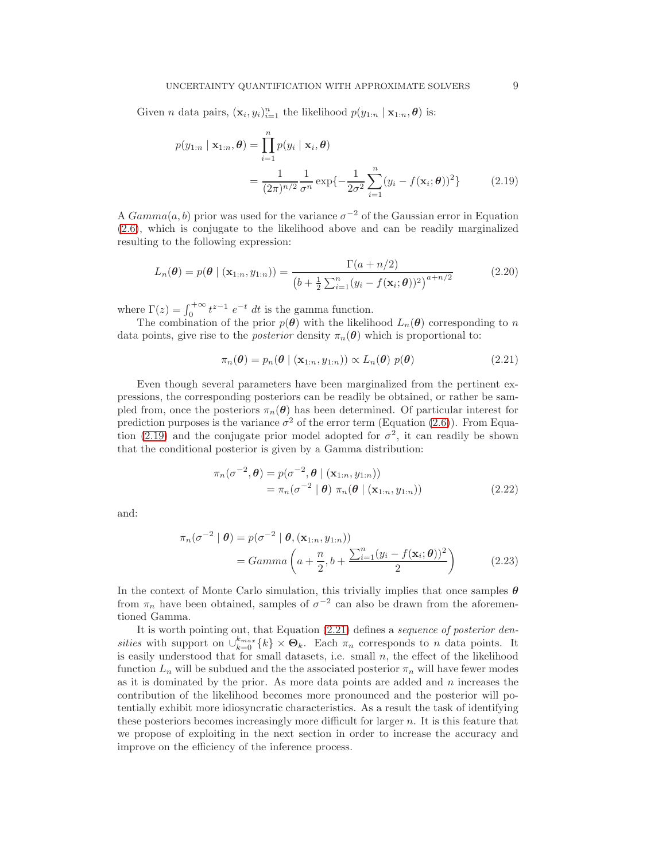Given *n* data pairs,  $(\mathbf{x}_i, y_i)_{i=1}^n$  the likelihood  $p(y_{1:n} | \mathbf{x}_{1:n}, \theta)$  is:

<span id="page-8-0"></span>
$$
p(y_{1:n} | \mathbf{x}_{1:n}, \boldsymbol{\theta}) = \prod_{i=1}^{n} p(y_i | \mathbf{x}_i, \boldsymbol{\theta})
$$
  
= 
$$
\frac{1}{(2\pi)^{n/2}} \frac{1}{\sigma^n} \exp\{-\frac{1}{2\sigma^2} \sum_{i=1}^{n} (y_i - f(\mathbf{x}_i; \boldsymbol{\theta}))^2\}
$$
(2.19)

A  $Gamma(a, b)$  prior was used for the variance  $\sigma^{-2}$  of the Gaussian error in Equation [\(2.6\)](#page-4-0), which is conjugate to the likelihood above and can be readily marginalized resulting to the following expression:

$$
L_n(\boldsymbol{\theta}) = p(\boldsymbol{\theta} \mid (\mathbf{x}_{1:n}, y_{1:n})) = \frac{\Gamma(a+n/2)}{(b + \frac{1}{2} \sum_{i=1}^n (y_i - f(\mathbf{x}_i; \boldsymbol{\theta}))^2)^{a+n/2}}
$$
(2.20)

where  $\Gamma(z) = \int_0^{+\infty} t^{z-1} e^{-t} dt$  is the gamma function.

The combination of the prior  $p(\theta)$  with the likelihood  $L_n(\theta)$  corresponding to n data points, give rise to the *posterior* density  $\pi_n(\boldsymbol{\theta})$  which is proportional to:

<span id="page-8-1"></span>
$$
\pi_n(\boldsymbol{\theta}) = p_n(\boldsymbol{\theta} \mid (\mathbf{x}_{1:n}, y_{1:n})) \propto L_n(\boldsymbol{\theta}) \ p(\boldsymbol{\theta}) \tag{2.21}
$$

Even though several parameters have been marginalized from the pertinent expressions, the corresponding posteriors can be readily be obtained, or rather be sampled from, once the posteriors  $\pi_n(\theta)$  has been determined. Of particular interest for prediction purposes is the variance  $\sigma^2$  of the error term (Equation [\(2.6\)](#page-4-0)). From Equa-tion [\(2.19\)](#page-8-0) and the conjugate prior model adopted for  $\sigma^2$ , it can readily be shown that the conditional posterior is given by a Gamma distribution:

<span id="page-8-2"></span>
$$
\pi_n(\sigma^{-2}, \boldsymbol{\theta}) = p(\sigma^{-2}, \boldsymbol{\theta} \mid (\mathbf{x}_{1:n}, y_{1:n}))
$$
  
=  $\pi_n(\sigma^{-2} \mid \boldsymbol{\theta}) \pi_n(\boldsymbol{\theta} \mid (\mathbf{x}_{1:n}, y_{1:n}))$  (2.22)

and:

<span id="page-8-3"></span>
$$
\pi_n(\sigma^{-2} \mid \boldsymbol{\theta}) = p(\sigma^{-2} \mid \boldsymbol{\theta}, (\mathbf{x}_{1:n}, y_{1:n}))
$$

$$
= Gamma\left(a + \frac{n}{2}, b + \frac{\sum_{i=1}^n (y_i - f(\mathbf{x}_i; \boldsymbol{\theta}))^2}{2}\right)
$$
(2.23)

In the context of Monte Carlo simulation, this trivially implies that once samples  $\theta$ from  $\pi_n$  have been obtained, samples of  $\sigma^{-2}$  can also be drawn from the aforementioned Gamma.

It is worth pointing out, that Equation [\(2.21\)](#page-8-1) defines a sequence of posterior densities with support on  $\bigcup_{k=0}^{k_{max}} \{k\} \times \mathbf{\Theta}_k$ . Each  $\pi_n$  corresponds to n data points. It is easily understood that for small datasets, i.e. small  $n$ , the effect of the likelihood function  $L_n$  will be subdued and the the associated posterior  $\pi_n$  will have fewer modes as it is dominated by the prior. As more data points are added and  $n$  increases the contribution of the likelihood becomes more pronounced and the posterior will potentially exhibit more idiosyncratic characteristics. As a result the task of identifying these posteriors becomes increasingly more difficult for larger  $n$ . It is this feature that we propose of exploiting in the next section in order to increase the accuracy and improve on the efficiency of the inference process.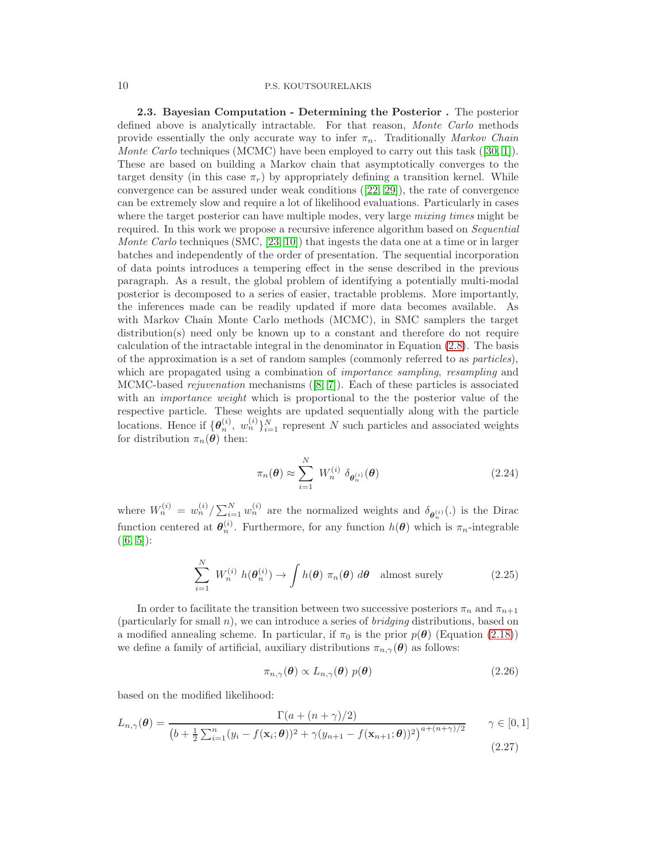<span id="page-9-3"></span>2.3. Bayesian Computation - Determining the Posterior . The posterior defined above is analytically intractable. For that reason, *Monte Carlo* methods provide essentially the only accurate way to infer  $\pi_n$ . Traditionally Markov Chain MonteCarlo techniques (MCMC) have been employed to carry out this task ([\[30,](#page-26-8) [1\]](#page-25-1)). These are based on building a Markov chain that asymptotically converges to the target density (in this case  $\pi_r$ ) by appropriately defining a transition kernel. While convergence can be assured under weak conditions([\[22,](#page-26-16) [29\]](#page-26-17)), the rate of convergence can be extremely slow and require a lot of likelihood evaluations. Particularly in cases where the target posterior can have multiple modes, very large mixing times might be required. In this work we propose a recursive inference algorithm based on *Sequential* Monte Carlo techniques (SMC, [\[23,](#page-26-18) [10\]](#page-26-19)) that ingests the data one at a time or in larger batches and independently of the order of presentation. The sequential incorporation of data points introduces a tempering effect in the sense described in the previous paragraph. As a result, the global problem of identifying a potentially multi-modal posterior is decomposed to a series of easier, tractable problems. More importantly, the inferences made can be readily updated if more data becomes available. As with Markov Chain Monte Carlo methods (MCMC), in SMC samplers the target distribution(s) need only be known up to a constant and therefore do not require calculation of the intractable integral in the denominator in Equation [\(2.8\)](#page-5-1). The basis of the approximation is a set of random samples (commonly referred to as particles), which are propagated using a combination of *importance sampling*, resampling and MCMC-based rejuvenation mechanisms([\[8,](#page-26-20) [7\]](#page-26-21)). Each of these particles is associated with an *importance weight* which is proportional to the the posterior value of the respective particle. These weights are updated sequentially along with the particle locations. Hence if  $\{\theta_n^{(i)}, w_n^{(i)}\}_{i=1}^N$  represent N such particles and associated weights for distribution  $\pi_n(\boldsymbol{\theta})$  then:

<span id="page-9-1"></span>
$$
\pi_n(\boldsymbol{\theta}) \approx \sum_{i=1}^N W_n^{(i)} \delta_{\boldsymbol{\theta}_n^{(i)}}(\boldsymbol{\theta})
$$
\n(2.24)

where  $W_n^{(i)} = w_n^{(i)} / \sum_{i=1}^N w_n^{(i)}$  are the normalized weights and  $\delta_{\theta_n^{(i)}}(.)$  is the Dirac function centered at  $\theta_n^{(i)}$ . Furthermore, for any function  $h(\theta)$  which is  $\pi_n$ -integrable  $([6, 5])$  $([6, 5])$  $([6, 5])$  $([6, 5])$ :

<span id="page-9-2"></span>
$$
\sum_{i=1}^{N} W_n^{(i)} h(\boldsymbol{\theta}_n^{(i)}) \to \int h(\boldsymbol{\theta}) \pi_n(\boldsymbol{\theta}) d\boldsymbol{\theta} \quad \text{almost surely} \tag{2.25}
$$

In order to facilitate the transition between two successive posteriors  $\pi_n$  and  $\pi_{n+1}$ (particularly for small  $n$ ), we can introduce a series of *bridging* distributions, based on a modified annealing scheme. In particular, if  $\pi_0$  is the prior  $p(\theta)$  (Equation [\(2.18\)](#page-7-0)) we define a family of artificial, auxiliary distributions  $\pi_{n,\gamma}(\boldsymbol{\theta})$  as follows:

<span id="page-9-0"></span>
$$
\pi_{n,\gamma}(\boldsymbol{\theta}) \propto L_{n,\gamma}(\boldsymbol{\theta}) \ p(\boldsymbol{\theta}) \tag{2.26}
$$

based on the modified likelihood:

$$
L_{n,\gamma}(\boldsymbol{\theta}) = \frac{\Gamma(a + (n + \gamma)/2)}{(b + \frac{1}{2}\sum_{i=1}^{n}(y_i - f(\mathbf{x}_i;\boldsymbol{\theta}))^2 + \gamma(y_{n+1} - f(\mathbf{x}_{n+1};\boldsymbol{\theta}))^2)^{a + (n + \gamma)/2}} \qquad \gamma \in [0,1]
$$
\n(2.27)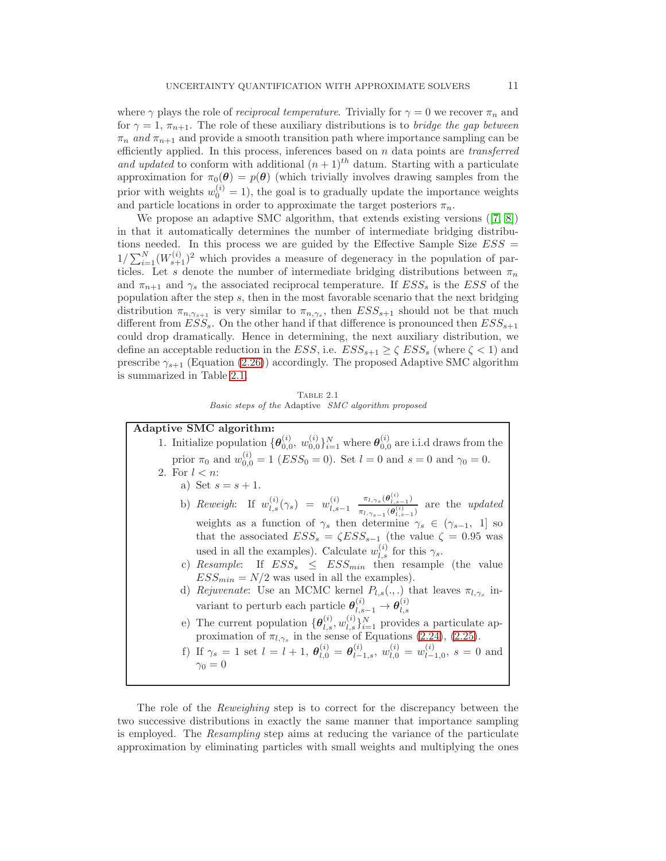where  $\gamma$  plays the role of *reciprocal temperature*. Trivially for  $\gamma = 0$  we recover  $\pi_n$  and for  $\gamma = 1, \pi_{n+1}$ . The role of these auxiliary distributions is to *bridge the gap between*  $\pi_n$  and  $\pi_{n+1}$  and provide a smooth transition path where importance sampling can be efficiently applied. In this process, inferences based on  $n$  data points are *transferred* and updated to conform with additional  $(n+1)$ <sup>th</sup> datum. Starting with a particulate approximation for  $\pi_0(\theta) = p(\theta)$  (which trivially involves drawing samples from the prior with weights  $w_0^{(i)} = 1$ , the goal is to gradually update the importance weights and particle locations in order to approximate the target posteriors  $\pi_n$ .

We propose an adaptive SMC algorithm, that extends existing versions([\[7,](#page-26-21) [8\]](#page-26-20)) in that it automatically determines the number of intermediate bridging distributions needed. In this process we are guided by the Effective Sample Size  $ESS =$  $1/\sum_{i=1}^{N} (W_{s+1}^{(i)})^2$  which provides a measure of degeneracy in the population of particles. Let s denote the number of intermediate bridging distributions between  $\pi_n$ and  $\pi_{n+1}$  and  $\gamma_s$  the associated reciprocal temperature. If  $ESS_s$  is the  $ESS$  of the population after the step s, then in the most favorable scenario that the next bridging distribution  $\pi_{n,\gamma_{s+1}}$  is very similar to  $\pi_{n,\gamma_s}$ , then  $ESS_{s+1}$  should not be that much different from  $ESS_s$ . On the other hand if that difference is pronounced then  $ESS_{s+1}$ could drop dramatically. Hence in determining, the next auxiliary distribution, we define an acceptable reduction in the  $ESS$ , i.e.  $ESS_{s+1} \geq \zeta \;ESS_s$  (where  $\zeta < 1$ ) and prescribe  $\gamma_{s+1}$  (Equation [\(2.26\)](#page-9-0)) accordingly. The proposed Adaptive SMC algorithm is summarized in Table [2.1.](#page-10-0)

Table 2.1 Basic steps of the Adaptive SMC algorithm proposed

<span id="page-10-0"></span>

| Adaptive SMC algorithm:                                                                                                                                                 |
|-------------------------------------------------------------------------------------------------------------------------------------------------------------------------|
| 1. Initialize population $\{\theta_{0,0}^{(i)}, w_{0,0}^{(i)}\}_{i=1}^N$ where $\theta_{0,0}^{(i)}$ are i.i.d draws from the                                            |
| prior $\pi_0$ and $w_{0,0}^{(i)} = 1$ ( <i>ESS</i> <sub>0</sub> = 0). Set $l = 0$ and $s = 0$ and $\gamma_0 = 0$ .                                                      |
| 2. For $l < n$ :                                                                                                                                                        |
| a) Set $s = s + 1$ .                                                                                                                                                    |
| b) Reweigh: If $w_{l,s}^{(i)}(\gamma_s) = w_{l,s-1}^{(i)} \frac{\pi_{l,\gamma_s}(\theta_{l,s-1}^{(i)})}{\pi_{l,\gamma_s}(\theta_{l,s-1}^{(i)})}$ are the <i>updated</i> |
| weights as a function of $\gamma_s$ then determine $\gamma_s \in (\gamma_{s-1}, 1]$ so                                                                                  |
| that the associated $ESS_s = \zeta ESS_{s-1}$ (the value $\zeta = 0.95$ was                                                                                             |
| used in all the examples). Calculate $w_{l,s}^{(i)}$ for this $\gamma_s$ .                                                                                              |
| c) Resample: If $ESS_s \leq ESS_{min}$ then resample (the value                                                                                                         |
| $ESS_{min} = N/2$ was used in all the examples).                                                                                                                        |
| d) Rejuvenate: Use an MCMC kernel $P_{l,s}(.,.)$ that leaves $\pi_{l,\gamma_s}$ in-                                                                                     |
| variant to perturb each particle $\theta_{l,s-1}^{(i)} \rightarrow \theta_{l,s}^{(i)}$                                                                                  |
| e) The current population $\{\theta_{l,s}^{(i)}, w_{l,s}^{(i)}\}_{i=1}^N$ provides a particulate ap-                                                                    |
| proximation of $\pi_{l,\gamma_s}$ in the sense of Equations (2.24), (2.25).                                                                                             |
| f) If $\gamma_s = 1$ set $l = l + 1$ , $\theta_{l,0}^{(i)} = \theta_{l-1,s}^{(i)}$ , $w_{l,0}^{(i)} = w_{l-1,0}^{(i)}$ , $s = 0$ and                                    |
| $\gamma_0=0$                                                                                                                                                            |
|                                                                                                                                                                         |

The role of the Reweighing step is to correct for the discrepancy between the two successive distributions in exactly the same manner that importance sampling is employed. The Resampling step aims at reducing the variance of the particulate approximation by eliminating particles with small weights and multiplying the ones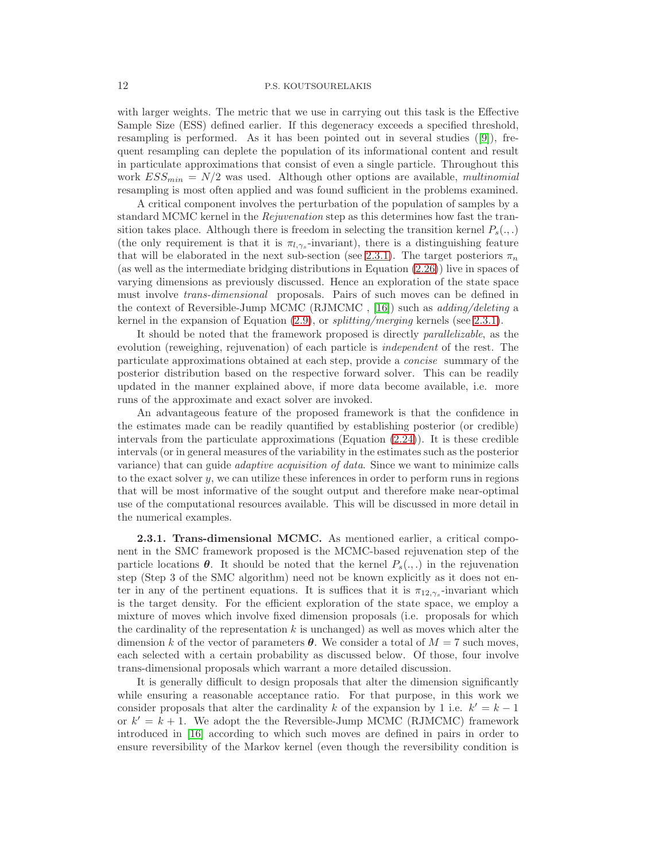with larger weights. The metric that we use in carrying out this task is the Effective Sample Size (ESS) defined earlier. If this degeneracy exceeds a specified threshold, resampling is performed. As it has been pointed out in several studies([\[9\]](#page-26-24)), frequent resampling can deplete the population of its informational content and result in particulate approximations that consist of even a single particle. Throughout this work  $ESS_{min} = N/2$  was used. Although other options are available, *multinomial* resampling is most often applied and was found sufficient in the problems examined.

A critical component involves the perturbation of the population of samples by a standard MCMC kernel in the *Rejuvenation* step as this determines how fast the transition takes place. Although there is freedom in selecting the transition kernel  $P_s(.,.)$ (the only requirement is that it is  $\pi_{l,\gamma_s}$ -invariant), there is a distinguishing feature that will be elaborated in the next sub-section (see [2.3.1\)](#page-11-0). The target posteriors  $\pi_n$ (as well as the intermediate bridging distributions in Equation [\(2.26\)](#page-9-0)) live in spaces of varying dimensions as previously discussed. Hence an exploration of the state space must involve trans-dimensional proposals. Pairs of such moves can be defined in the context of Reversible-Jump MCMC (RJMCMC, [\[16\]](#page-26-25)) such as  $adding/deleting$  a kernel in the expansion of Equation  $(2.9)$ , or splitting/merging kernels (see [2.3.1\)](#page-11-0).

It should be noted that the framework proposed is directly parallelizable, as the evolution (reweighing, rejuvenation) of each particle is *independent* of the rest. The particulate approximations obtained at each step, provide a concise summary of the posterior distribution based on the respective forward solver. This can be readily updated in the manner explained above, if more data become available, i.e. more runs of the approximate and exact solver are invoked.

An advantageous feature of the proposed framework is that the confidence in the estimates made can be readily quantified by establishing posterior (or credible) intervals from the particulate approximations (Equation  $(2.24)$ ). It is these credible intervals (or in general measures of the variability in the estimates such as the posterior variance) that can guide *adaptive acquisition of data*. Since we want to minimize calls to the exact solver  $y$ , we can utilize these inferences in order to perform runs in regions that will be most informative of the sought output and therefore make near-optimal use of the computational resources available. This will be discussed in more detail in the numerical examples.

<span id="page-11-0"></span>2.3.1. Trans-dimensional MCMC. As mentioned earlier, a critical component in the SMC framework proposed is the MCMC-based rejuvenation step of the particle locations  $\theta$ . It should be noted that the kernel  $P_s(.,.)$  in the rejuvenation step (Step 3 of the SMC algorithm) need not be known explicitly as it does not enter in any of the pertinent equations. It is suffices that it is  $\pi_{12,\gamma_s}$ -invariant which is the target density. For the efficient exploration of the state space, we employ a mixture of moves which involve fixed dimension proposals (i.e. proposals for which the cardinality of the representation  $k$  is unchanged) as well as moves which alter the dimension k of the vector of parameters  $\boldsymbol{\theta}$ . We consider a total of  $M = 7$  such moves, each selected with a certain probability as discussed below. Of those, four involve trans-dimensional proposals which warrant a more detailed discussion.

It is generally difficult to design proposals that alter the dimension significantly while ensuring a reasonable acceptance ratio. For that purpose, in this work we consider proposals that alter the cardinality k of the expansion by 1 i.e.  $k' = k - 1$ or  $k' = k + 1$ . We adopt the the Reversible-Jump MCMC (RJMCMC) framework introduced in [\[16\]](#page-26-25) according to which such moves are defined in pairs in order to ensure reversibility of the Markov kernel (even though the reversibility condition is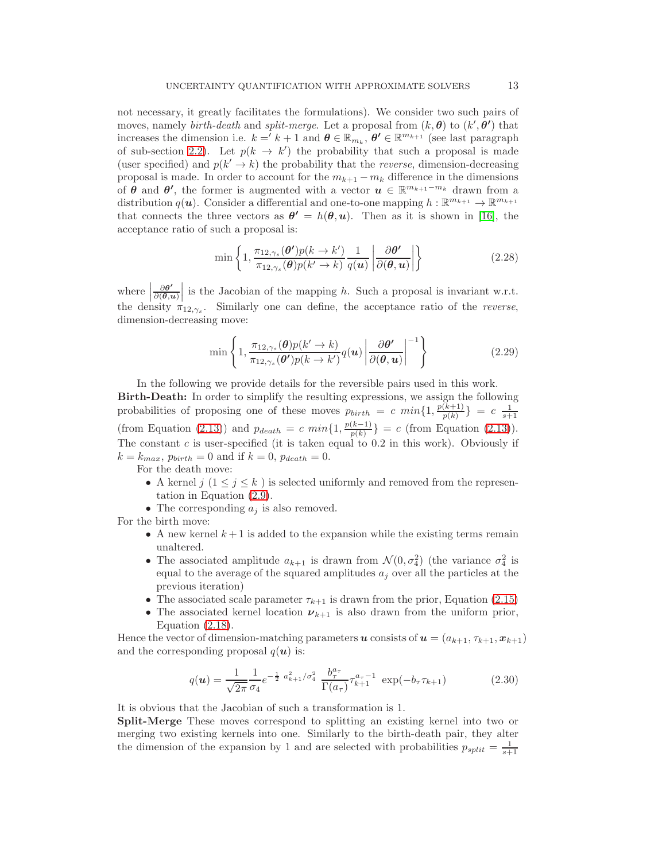not necessary, it greatly facilitates the formulations). We consider two such pairs of moves, namely *birth-death* and *split-merge*. Let a proposal from  $(k, \theta)$  to  $(k', \theta')$  that increases the dimension i.e.  $k = k + 1$  and  $\boldsymbol{\theta} \in \mathbb{R}_{m_k}$ ,  $\boldsymbol{\theta'} \in \mathbb{R}^{m_{k+1}}$  (see last paragraph of sub-section [2.2\)](#page-6-0). Let  $p(k \to k')$  the probability that such a proposal is made (user specified) and  $p(k' \rightarrow k)$  the probability that the *reverse*, dimension-decreasing proposal is made. In order to account for the  $m_{k+1} - m_k$  difference in the dimensions of  $\theta$  and  $\theta'$ , the former is augmented with a vector  $u \in \mathbb{R}^{m_{k+1}-m_k}$  drawn from a distribution  $q(u)$ . Consider a differential and one-to-one mapping  $h: \mathbb{R}^{m_{k+1}} \to \mathbb{R}^{m_{k+1}}$ that connects the three vectors as  $\theta' = h(\theta, u)$ . Then as it is shown in [\[16\]](#page-26-25), the acceptance ratio of such a proposal is:

<span id="page-12-0"></span>
$$
\min\left\{1,\frac{\pi_{12,\gamma_s}(\boldsymbol{\theta}')p(k\rightarrow k')}{\pi_{12,\gamma_s}(\boldsymbol{\theta})p(k'\rightarrow k)}\frac{1}{q(u)}\left|\frac{\partial\boldsymbol{\theta}'}{\partial(\boldsymbol{\theta},u)}\right|\right\}\tag{2.28}
$$

where  $\frac{\partial \theta'}{\partial(\theta, \theta)}$ the density  $\pi_{12,\gamma_s}$ . Similarly one can define, the acceptance ratio of the *reverse*,  $\frac{\partial \theta'}{\partial(\theta, u)}$  is the Jacobian of the mapping h. Such a proposal is invariant w.r.t. dimension-decreasing move:

$$
\min\left\{1,\frac{\pi_{12,\gamma_s}(\boldsymbol{\theta})p(k'\to k)}{\pi_{12,\gamma_s}(\boldsymbol{\theta}')p(k\to k')}q(\boldsymbol{u})\left|\frac{\partial\boldsymbol{\theta'}}{\partial(\boldsymbol{\theta},\boldsymbol{u})}\right|^{-1}\right\}
$$
(2.29)

In the following we provide details for the reversible pairs used in this work.

Birth-Death: In order to simplify the resulting expressions, we assign the following probabilities of proposing one of these moves  $p_{birth} = c \ min\{1, \frac{p(k+1)}{p(k)}\}$  $\frac{(k+1)}{p(k)}$ } = c  $\frac{1}{s+1}$ (from Equation [\(2.13\)](#page-7-1)) and  $p_{death} = c \ min\{1, \frac{p(k-1)}{p(k)}\} = c$  (from Equation (2.13)). The constant  $c$  is user-specified (it is taken equal to 0.2 in this work). Obviously if  $k = k_{max}$ ,  $p_{birth} = 0$  and if  $k = 0$ ,  $p_{death} = 0$ .

For the death move:

- A kernel  $j$   $(1 \leq j \leq k)$  is selected uniformly and removed from the representation in Equation [\(2.9\)](#page-5-0).
- The corresponding  $a_i$  is also removed.

For the birth move:

- A new kernel  $k+1$  is added to the expansion while the existing terms remain unaltered.
- The associated amplitude  $a_{k+1}$  is drawn from  $\mathcal{N}(0, \sigma_4^2)$  (the variance  $\sigma_4^2$  is equal to the average of the squared amplitudes  $a_i$  over all the particles at the previous iteration)
- The associated scale parameter  $\tau_{k+1}$  is drawn from the prior, Equation [\(2.15\)](#page-7-2)
- The associated kernel location  $\nu_{k+1}$  is also drawn from the uniform prior, Equation [\(2.18\)](#page-7-0).

Hence the vector of dimension-matching parameters u consists of  $u = (a_{k+1}, \tau_{k+1}, x_{k+1})$ and the corresponding proposal  $q(\boldsymbol{u})$  is:

$$
q(\mathbf{u}) = \frac{1}{\sqrt{2\pi}} \frac{1}{\sigma_4} e^{-\frac{1}{2} a_{k+1}^2 / \sigma_4^2} \frac{b_\tau^{a_\tau}}{\Gamma(a_\tau)} \tau_{k+1}^{a_\tau - 1} \exp(-b_\tau \tau_{k+1})
$$
(2.30)

It is obvious that the Jacobian of such a transformation is 1.

Split-Merge These moves correspond to splitting an existing kernel into two or merging two existing kernels into one. Similarly to the birth-death pair, they alter the dimension of the expansion by 1 and are selected with probabilities  $p_{split} = \frac{1}{s+1}$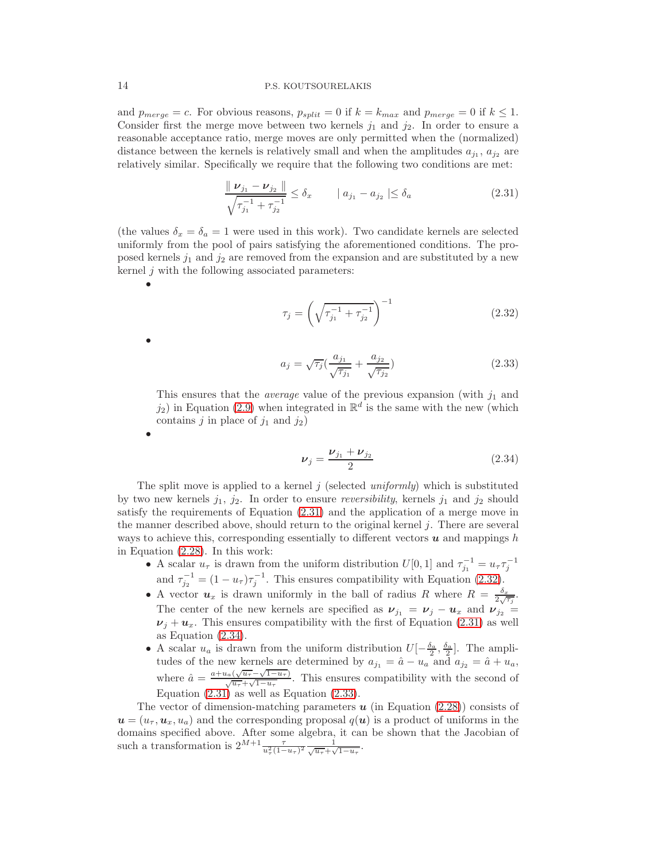and  $p_{merge} = c$ . For obvious reasons,  $p_{split} = 0$  if  $k = k_{max}$  and  $p_{merge} = 0$  if  $k \le 1$ . Consider first the merge move between two kernels  $j_1$  and  $j_2$ . In order to ensure a reasonable acceptance ratio, merge moves are only permitted when the (normalized) distance between the kernels is relatively small and when the amplitudes  $a_{j_1}, a_{j_2}$  are relatively similar. Specifically we require that the following two conditions are met:

<span id="page-13-0"></span>
$$
\frac{\| \nu_{j_1} - \nu_{j_2} \|}{\sqrt{\tau_{j_1}^{-1} + \tau_{j_2}^{-1}}} \le \delta_x \qquad | \ a_{j_1} - a_{j_2} | \le \delta_a \tag{2.31}
$$

(the values  $\delta_x = \delta_a = 1$  were used in this work). Two candidate kernels are selected uniformly from the pool of pairs satisfying the aforementioned conditions. The proposed kernels  $j_1$  and  $j_2$  are removed from the expansion and are substituted by a new kernel  $j$  with the following associated parameters:

<span id="page-13-1"></span>
$$
\tau_j = \left(\sqrt{\tau_{j_1}^{-1} + \tau_{j_2}^{-1}}\right)^{-1} \tag{2.32}
$$

<span id="page-13-3"></span>
$$
a_j = \sqrt{\tau_j} \left( \frac{a_{j_1}}{\sqrt{\tau_{j_1}}} + \frac{a_{j_2}}{\sqrt{\tau_{j_2}}} \right) \tag{2.33}
$$

This ensures that the *average* value of the previous expansion (with  $j_1$  and  $j_2$ ) in Equation [\(2.9\)](#page-5-0) when integrated in  $\mathbb{R}^d$  is the same with the new (which contains j in place of  $j_1$  and  $j_2$ )

<span id="page-13-2"></span>
$$
\nu_j = \frac{\nu_{j_1} + \nu_{j_2}}{2} \tag{2.34}
$$

The split move is applied to a kernel  $j$  (selected uniformly) which is substituted by two new kernels  $j_1, j_2$ . In order to ensure *reversibility*, kernels  $j_1$  and  $j_2$  should satisfy the requirements of Equation [\(2.31\)](#page-13-0) and the application of a merge move in the manner described above, should return to the original kernel  $j$ . There are several ways to achieve this, corresponding essentially to different vectors  $\boldsymbol{u}$  and mappings h in Equation [\(2.28\)](#page-12-0). In this work:

- A scalar  $u_{\tau}$  is drawn from the uniform distribution  $U[0, 1]$  and  $\tau_{j_1}^{-1} = u_{\tau} \tau_j^{-1}$ and  $\tau_{j_2}^{-1} = (1 - u_\tau)\tau_j^{-1}$ . This ensures compatibility with Equation [\(2.32\)](#page-13-1).
- A vector  $u_x$  is drawn uniformly in the ball of radius R where  $R = \frac{\delta_x}{2\sqrt{\tau_j}}$ . The center of the new kernels are specified as  $v_{j_1} = v_j - u_x$  and  $v_{j_2} =$  $\nu_i + u_x$ . This ensures compatibility with the first of Equation [\(2.31\)](#page-13-0) as well as Equation [\(2.34\)](#page-13-2).
- A scalar  $u_a$  is drawn from the uniform distribution  $U[-\frac{\delta_a}{2}, \frac{\delta_a}{2}]$ . The amplitudes of the new kernels are determined by  $a_{j_1} = \hat{a} - u_a$  and  $a_{j_2} = \hat{a} + u_a$ , where  $\hat{a} = \frac{a + u_a(\sqrt{u_{\tau}} - \sqrt{1 - u_{\tau}})}{\sqrt{u_{\tau}} + \sqrt{1 - u_{\tau}}}.$  This ensures compatibility with the second of Equation  $(2.31)$  as well as Equation  $(2.33)$ .

The vector of dimension-matching parameters  $u$  (in Equation [\(2.28\)](#page-12-0)) consists of  $u = (u_{\tau}, u_x, u_a)$  and the corresponding proposal  $q(u)$  is a product of uniforms in the domains specified above. After some algebra, it can be shown that the Jacobian of such a transformation is  $2^{M+1} \frac{\tau}{u_\tau^2 (1-u_\tau)^2} \frac{1}{\sqrt{u_\tau} + \sqrt{1-u_\tau}}$ .

•

•

•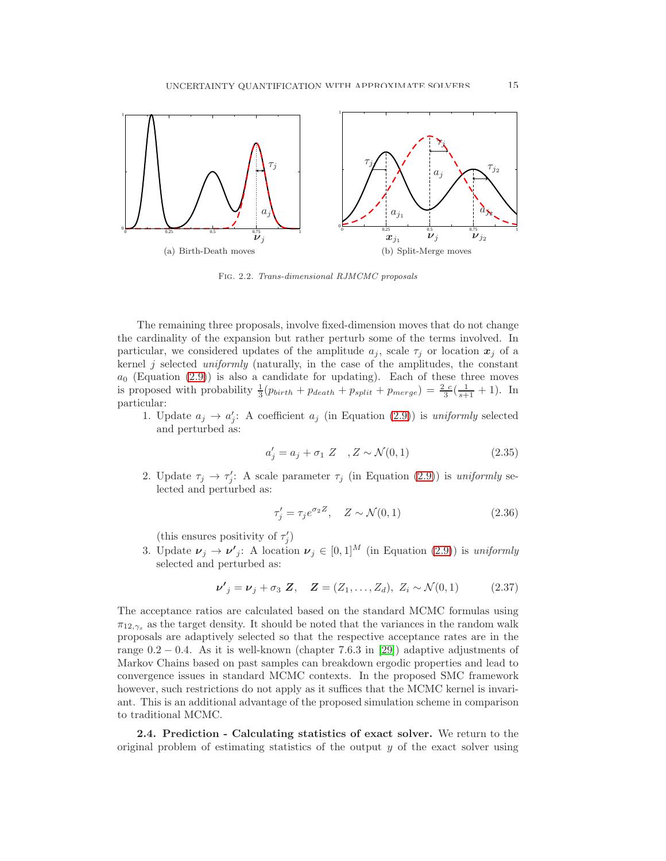

Fig. 2.2. Trans-dimensional RJMCMC proposals

The remaining three proposals, involve fixed-dimension moves that do not change the cardinality of the expansion but rather perturb some of the terms involved. In particular, we considered updates of the amplitude  $a_j$ , scale  $\tau_j$  or location  $x_j$  of a kernel  $j$  selected uniformly (naturally, in the case of the amplitudes, the constant  $a_0$  (Equation [\(2.9\)](#page-5-0)) is also a candidate for updating). Each of these three moves is proposed with probability  $\frac{1}{3}(p_{birth} + p_{death} + p_{split} + p_{merge}) = \frac{2}{3}(\frac{1}{s+1} + 1)$ . In particular:

1. Update  $a_j \to a'_j$ : A coefficient  $a_j$  (in Equation [\(2.9\)](#page-5-0)) is uniformly selected and perturbed as:

$$
a'_{j} = a_{j} + \sigma_{1} Z \quad , Z \sim \mathcal{N}(0, 1) \tag{2.35}
$$

2. Update  $\tau_j \to \tau'_j$ : A scale parameter  $\tau_j$  (in Equation [\(2.9\)](#page-5-0)) is uniformly selected and perturbed as:

$$
\tau_j' = \tau_j e^{\sigma_2 Z}, \quad Z \sim \mathcal{N}(0, 1) \tag{2.36}
$$

(this ensures positivity of  $\tau'_j$ )

3. Update  $\nu_j \to \nu'_j$ : A location  $\nu_j \in [0,1]^M$  (in Equation [\(2.9\)](#page-5-0)) is uniformly selected and perturbed as:

$$
\nu'_{j} = \nu_{j} + \sigma_{3} Z, \quad Z = (Z_{1}, \ldots, Z_{d}), \ Z_{i} \sim \mathcal{N}(0, 1) \tag{2.37}
$$

The acceptance ratios are calculated based on the standard MCMC formulas using  $\pi_{12,\gamma_s}$  as the target density. It should be noted that the variances in the random walk proposals are adaptively selected so that the respective acceptance rates are in the range  $0.2 - 0.4$ . As it is well-known (chapter 7.6.3 in [\[29\]](#page-26-17)) adaptive adjustments of Markov Chains based on past samples can breakdown ergodic properties and lead to convergence issues in standard MCMC contexts. In the proposed SMC framework however, such restrictions do not apply as it suffices that the MCMC kernel is invariant. This is an additional advantage of the proposed simulation scheme in comparison to traditional MCMC.

<span id="page-14-0"></span>2.4. Prediction - Calculating statistics of exact solver. We return to the original problem of estimating statistics of the output  $y$  of the exact solver using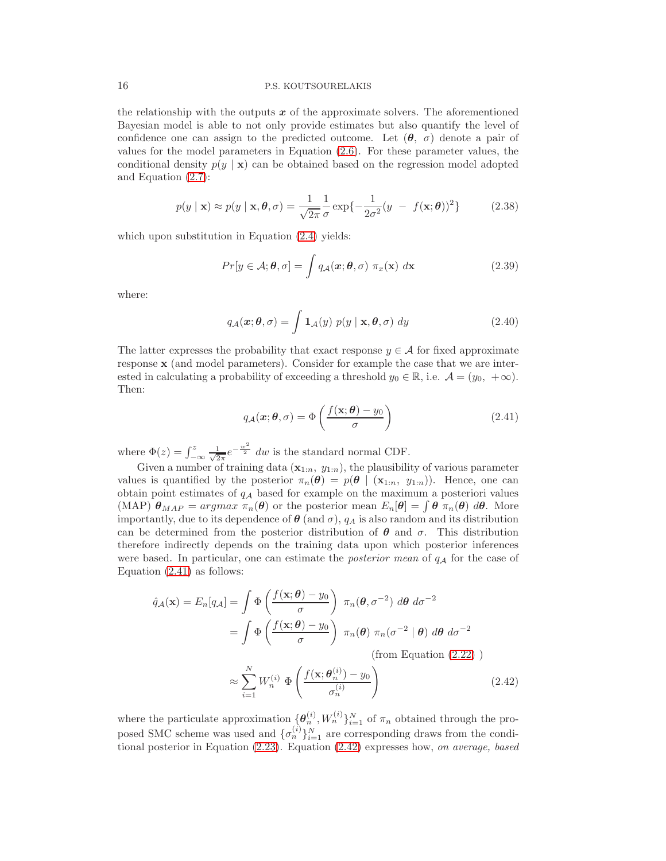the relationship with the outputs  $x$  of the approximate solvers. The aforementioned Bayesian model is able to not only provide estimates but also quantify the level of confidence one can assign to the predicted outcome. Let  $(\theta, \sigma)$  denote a pair of values for the model parameters in Equation [\(2.6\)](#page-4-0). For these parameter values, the conditional density  $p(y | x)$  can be obtained based on the regression model adopted and Equation [\(2.7\)](#page-4-1):

$$
p(y \mid \mathbf{x}) \approx p(y \mid \mathbf{x}, \boldsymbol{\theta}, \sigma) = \frac{1}{\sqrt{2\pi}} \frac{1}{\sigma} \exp\{-\frac{1}{2\sigma^2}(y - f(\mathbf{x}; \boldsymbol{\theta}))^2\}
$$
(2.38)

which upon substitution in Equation  $(2.4)$  yields:

<span id="page-15-2"></span>
$$
Pr[y \in A; \theta, \sigma] = \int q_{\mathcal{A}}(\mathbf{x}; \theta, \sigma) \pi_x(\mathbf{x}) d\mathbf{x}
$$
 (2.39)

where:

$$
q_{\mathcal{A}}(\boldsymbol{x};\boldsymbol{\theta},\sigma) = \int \mathbf{1}_{\mathcal{A}}(y) \ p(y \mid \mathbf{x},\boldsymbol{\theta},\sigma) \ dy \qquad (2.40)
$$

The latter expresses the probability that exact response  $y \in A$  for fixed approximate response x (and model parameters). Consider for example the case that we are interested in calculating a probability of exceeding a threshold  $y_0 \in \mathbb{R}$ , i.e.  $\mathcal{A} = (y_0, +\infty)$ . Then:

<span id="page-15-0"></span>
$$
q_{\mathcal{A}}(\boldsymbol{x};\boldsymbol{\theta},\sigma) = \Phi\left(\frac{f(\mathbf{x};\boldsymbol{\theta}) - y_0}{\sigma}\right)
$$
\n(2.41)

where  $\Phi(z) = \int_{-\infty}^{z} \frac{1}{\sqrt{2}}$  $\frac{1}{2\pi}e^{-\frac{w^2}{2}}$  dw is the standard normal CDF.

Given a number of training data  $(\mathbf{x}_{1:n}, y_{1:n})$ , the plausibility of various parameter values is quantified by the posterior  $\pi_n(\theta) = p(\theta \mid (x_{1:n}, y_{1:n}))$ . Hence, one can obtain point estimates of  $q_A$  based for example on the maximum a posteriori values (MAP)  $\theta_{MAP} = argmax \pi_n(\theta)$  or the posterior mean  $E_n[\theta] = \int \theta \pi_n(\theta) d\theta$ . More importantly, due to its dependence of  $\theta$  (and  $\sigma$ ),  $q_A$  is also random and its distribution can be determined from the posterior distribution of  $\theta$  and  $\sigma$ . This distribution therefore indirectly depends on the training data upon which posterior inferences were based. In particular, one can estimate the *posterior mean* of  $q_A$  for the case of Equation  $(2.41)$  as follows:

<span id="page-15-1"></span>
$$
\hat{q}_{\mathcal{A}}(\mathbf{x}) = E_n[q_{\mathcal{A}}] = \int \Phi\left(\frac{f(\mathbf{x}; \boldsymbol{\theta}) - y_0}{\sigma}\right) \pi_n(\boldsymbol{\theta}, \sigma^{-2}) \, d\boldsymbol{\theta} \, d\sigma^{-2}
$$
\n
$$
= \int \Phi\left(\frac{f(\mathbf{x}; \boldsymbol{\theta}) - y_0}{\sigma}\right) \pi_n(\boldsymbol{\theta}) \, \pi_n(\sigma^{-2} \mid \boldsymbol{\theta}) \, d\boldsymbol{\theta} \, d\sigma^{-2}
$$
\n(from Equation (2.22))

$$
\approx \sum_{i=1}^{N} W_n^{(i)} \Phi\left(\frac{f(\mathbf{x}; \boldsymbol{\theta}_n^{(i)}) - y_0}{\sigma_n^{(i)}}\right) \tag{2.42}
$$

where the particulate approximation  $\{\boldsymbol{\theta}_n^{(i)}, W_n^{(i)}\}_{i=1}^N$  of  $\pi_n$  obtained through the proposed SMC scheme was used and  $\{\sigma_n^{(i)}\}_{i=1}^N$  are corresponding draws from the conditional posterior in Equation [\(2.23\)](#page-8-3). Equation [\(2.42\)](#page-15-1) expresses how, on average, based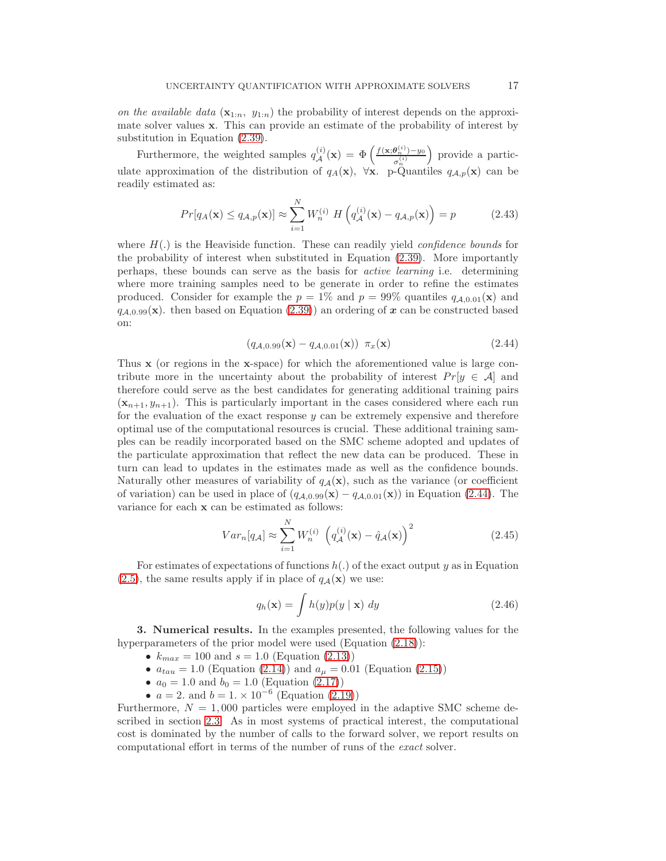on the available data  $(\mathbf{x}_{1:n}, y_{1:n})$  the probability of interest depends on the approximate solver values x. This can provide an estimate of the probability of interest by substitution in Equation [\(2.39\)](#page-15-2).

Furthermore, the weighted samples  $q_{\mathcal{A}}^{(i)}(\mathbf{x}) = \Phi\left(\frac{f(\mathbf{x};\theta_n^{(i)})-y_0}{\sigma_n^{(i)}}\right)$  $\sigma_n^{(i)}$  provide a particulate approximation of the distribution of  $q_A(\mathbf{x})$ ,  $\forall \mathbf{x}$ . p-Quantiles  $q_{A,p}(\mathbf{x})$  can be readily estimated as:

<span id="page-16-2"></span>
$$
Pr[q_A(\mathbf{x}) \le q_{\mathcal{A},p}(\mathbf{x})] \approx \sum_{i=1}^{N} W_n^{(i)} H\left(q_{\mathcal{A}}^{(i)}(\mathbf{x}) - q_{\mathcal{A},p}(\mathbf{x})\right) = p \tag{2.43}
$$

where  $H(.)$  is the Heaviside function. These can readily yield *confidence bounds* for the probability of interest when substituted in Equation [\(2.39\)](#page-15-2). More importantly perhaps, these bounds can serve as the basis for active learning i.e. determining where more training samples need to be generate in order to refine the estimates produced. Consider for example the  $p = 1\%$  and  $p = 99\%$  quantiles  $q_{A,0.01}(\mathbf{x})$  and  $q_{A,0.99}(\mathbf{x})$ . then based on Equation [\(2.39\)](#page-15-2)) an ordering of x can be constructed based on:

<span id="page-16-1"></span>
$$
(q_{A,0.99}(\mathbf{x}) - q_{A,0.01}(\mathbf{x})) \ \pi_x(\mathbf{x}) \tag{2.44}
$$

Thus x (or regions in the x-space) for which the aforementioned value is large contribute more in the uncertainty about the probability of interest  $Pr[y \in A]$  and therefore could serve as the best candidates for generating additional training pairs  $(\mathbf{x}_{n+1}, y_{n+1})$ . This is particularly important in the cases considered where each run for the evaluation of the exact response  $y$  can be extremely expensive and therefore optimal use of the computational resources is crucial. These additional training samples can be readily incorporated based on the SMC scheme adopted and updates of the particulate approximation that reflect the new data can be produced. These in turn can lead to updates in the estimates made as well as the confidence bounds. Naturally other measures of variability of  $q_{\mathcal{A}}(\mathbf{x})$ , such as the variance (or coefficient of variation) can be used in place of  $(q_{A,0.99}(\mathbf{x}) - q_{A,0.01}(\mathbf{x}))$  in Equation [\(2.44\)](#page-16-1). The variance for each x can be estimated as follows:

$$
Var_n[q_A] \approx \sum_{i=1}^{N} W_n^{(i)} \left( q_A^{(i)}(\mathbf{x}) - \hat{q}_A(\mathbf{x}) \right)^2 \tag{2.45}
$$

For estimates of expectations of functions  $h(.)$  of the exact output y as in Equation [\(2.5\)](#page-3-1), the same results apply if in place of  $q_{\mathcal{A}}(\mathbf{x})$  we use:

$$
q_h(\mathbf{x}) = \int h(y)p(y \mid \mathbf{x}) \ dy \qquad (2.46)
$$

<span id="page-16-0"></span>3. Numerical results. In the examples presented, the following values for the hyperparameters of the prior model were used (Equation  $(2.18)$ ):

- $k_{max} = 100$  and  $s = 1.0$  (Equation [\(2.13\)](#page-7-1))
- $a_{tau} = 1.0$  (Equation [\(2.14\)](#page-7-3)) and  $a_{\mu} = 0.01$  (Equation [\(2.15\)](#page-7-2))
- $a_0 = 1.0$  and  $b_0 = 1.0$  (Equation [\(2.17\)](#page-7-4))
- $a = 2$ . and  $b = 1 \times 10^{-6}$  (Equation [\(2.19\)](#page-8-0))

Furthermore,  $N = 1,000$  particles were employed in the adaptive SMC scheme described in section [2.3.](#page-9-3) As in most systems of practical interest, the computational cost is dominated by the number of calls to the forward solver, we report results on computational effort in terms of the number of runs of the exact solver.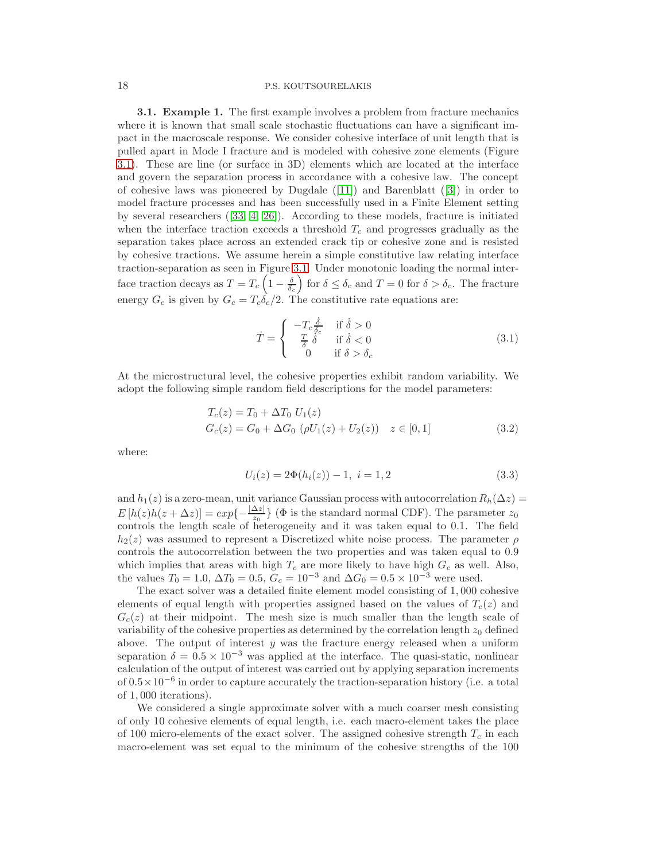3.1. Example 1. The first example involves a problem from fracture mechanics where it is known that small scale stochastic fluctuations can have a significant impact in the macroscale response. We consider cohesive interface of unit length that is pulled apart in Mode I fracture and is modeled with cohesive zone elements (Figure [3.1\)](#page-17-0). These are line (or surface in 3D) elements which are located at the interface and govern the separation process in accordance with a cohesive law. The concept of cohesive laws was pioneered by Dugdale([\[11\]](#page-26-26)) and Barenblatt([\[3\]](#page-25-2)) in order to model fracture processes and has been successfully used in a Finite Element setting by several researchers([\[33,](#page-26-27) [4,](#page-26-28) [26\]](#page-26-29)). According to these models, fracture is initiated when the interface traction exceeds a threshold  $T_c$  and progresses gradually as the separation takes place across an extended crack tip or cohesive zone and is resisted by cohesive tractions. We assume herein a simple constitutive law relating interface traction-separation as seen in Figure [3.1.](#page-17-0) Under monotonic loading the normal interface traction decays as  $T = T_c \left(1 - \frac{\delta}{\delta_c}\right)$  for  $\delta \le \delta_c$  and  $T = 0$  for  $\delta > \delta_c$ . The fracture energy  $G_c$  is given by  $G_c = T_c \delta_c/2$ . The constitutive rate equations are:

<span id="page-17-1"></span>
$$
\dot{T} = \begin{cases}\n-T_c \frac{\dot{\delta}}{\delta_c} & \text{if } \dot{\delta} > 0 \\
\frac{T}{\delta} \dot{\delta} & \text{if } \dot{\delta} < 0 \\
0 & \text{if } \delta > \delta_c\n\end{cases}
$$
\n(3.1)

At the microstructural level, the cohesive properties exhibit random variability. We adopt the following simple random field descriptions for the model parameters:

$$
T_c(z) = T_0 + \Delta T_0 U_1(z)
$$
  
\n
$$
G_c(z) = G_0 + \Delta G_0 (\rho U_1(z) + U_2(z)) \quad z \in [0, 1]
$$
\n(3.2)

where:

<span id="page-17-0"></span>
$$
U_i(z) = 2\Phi(h_i(z)) - 1, \ i = 1, 2 \tag{3.3}
$$

and  $h_1(z)$  is a zero-mean, unit variance Gaussian process with autocorrelation  $R_h(\Delta z)$  =  $E[h(z)h(z + \Delta z)] = exp{-\frac{|\Delta z|}{z_0}}$  ( $\Phi$  is the standard normal CDF). The parameter  $z_0$ controls the length scale of heterogeneity and it was taken equal to 0.1. The field  $h_2(z)$  was assumed to represent a Discretized white noise process. The parameter  $\rho$ controls the autocorrelation between the two properties and was taken equal to 0.9 which implies that areas with high  $T_c$  are more likely to have high  $G_c$  as well. Also, the values  $T_0 = 1.0$ ,  $\Delta T_0 = 0.5$ ,  $G_c = 10^{-3}$  and  $\Delta G_0 = 0.5 \times 10^{-3}$  were used.

The exact solver was a detailed finite element model consisting of 1, 000 cohesive elements of equal length with properties assigned based on the values of  $T_c(z)$  and  $G_c(z)$  at their midpoint. The mesh size is much smaller than the length scale of variability of the cohesive properties as determined by the correlation length  $z_0$  defined above. The output of interest  $y$  was the fracture energy released when a uniform separation  $\delta = 0.5 \times 10^{-3}$  was applied at the interface. The quasi-static, nonlinear calculation of the output of interest was carried out by applying separation increments of 0.5×10−<sup>6</sup> in order to capture accurately the traction-separation history (i.e. a total of 1, 000 iterations).

We considered a single approximate solver with a much coarser mesh consisting of only 10 cohesive elements of equal length, i.e. each macro-element takes the place of 100 micro-elements of the exact solver. The assigned cohesive strength  $T_c$  in each macro-element was set equal to the minimum of the cohesive strengths of the 100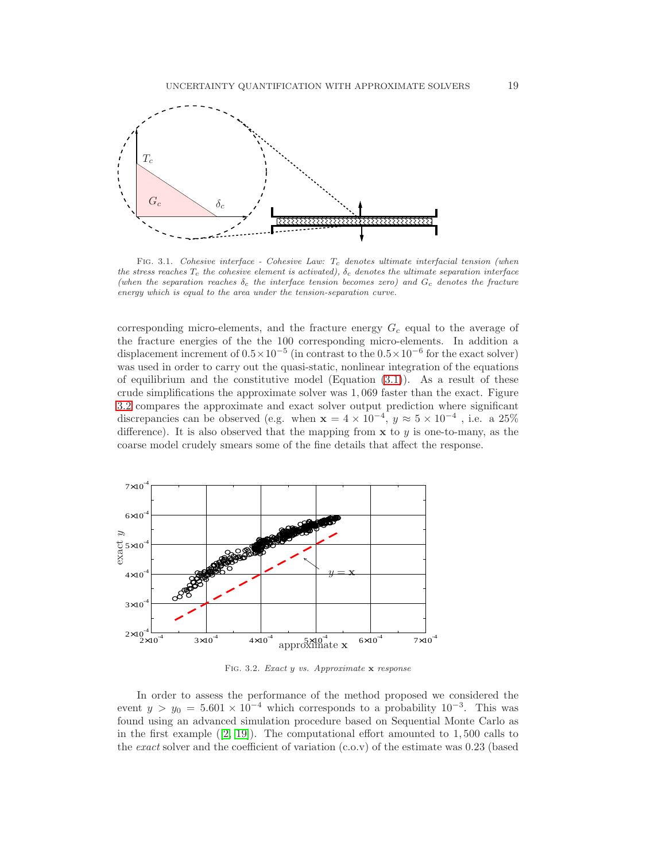

<span id="page-18-0"></span>FIG. 3.1. Cohesive interface - Cohesive Law:  $T_c$  denotes ultimate interfacial tension (when the stress reaches  $T_c$  the cohesive element is activated),  $\delta_c$  denotes the ultimate separation interface (when the separation reaches  $\delta_c$  the interface tension becomes zero) and  $G_c$  denotes the fracture energy which is equal to the area under the tension-separation curve.

corresponding micro-elements, and the fracture energy  $G_c$  equal to the average of the fracture energies of the the 100 corresponding micro-elements. In addition a displacement increment of  $0.5 \times 10^{-5}$  (in contrast to the  $0.5 \times 10^{-6}$  for the exact solver) was used in order to carry out the quasi-static, nonlinear integration of the equations of equilibrium and the constitutive model (Equation  $(3.1)$ ). As a result of these crude simplifications the approximate solver was 1, 069 faster than the exact. Figure [3.2](#page-18-1) compares the approximate and exact solver output prediction where significant discrepancies can be observed (e.g. when  $\mathbf{x} = 4 \times 10^{-4}$ ,  $y \approx 5 \times 10^{-4}$ , i.e. a 25% difference). It is also observed that the mapping from  $x$  to  $y$  is one-to-many, as the coarse model crudely smears some of the fine details that affect the response.



<span id="page-18-1"></span>Fig. 3.2. Exact y vs. Approximate x response

In order to assess the performance of the method proposed we considered the event  $y > y_0 = 5.601 \times 10^{-4}$  which corresponds to a probability  $10^{-3}$ . This was found using an advanced simulation procedure based on Sequential Monte Carlo as inthe first example  $([2, 19])$  $([2, 19])$  $([2, 19])$  $([2, 19])$ . The computational effort amounted to 1,500 calls to the exact solver and the coefficient of variation (c.o.v) of the estimate was 0.23 (based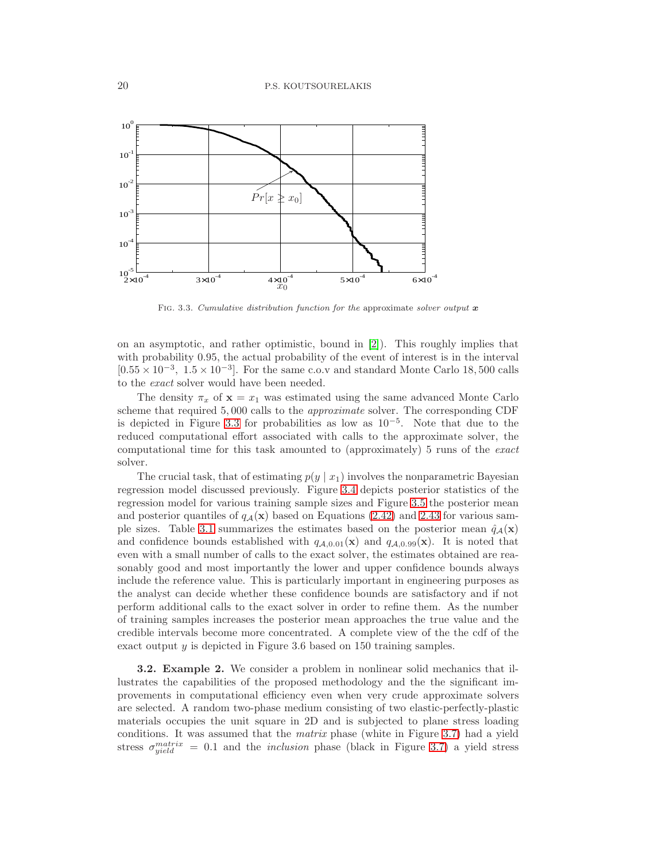

<span id="page-19-0"></span>FIG. 3.3. Cumulative distribution function for the approximate solver output  $\boldsymbol{x}$ 

on an asymptotic, and rather optimistic, bound in [\[2\]](#page-25-0)). This roughly implies that with probability 0.95, the actual probability of the event of interest is in the interval [ $0.55 \times 10^{-3}$ ,  $1.5 \times 10^{-3}$ ]. For the same c.o.v and standard Monte Carlo 18,500 calls to the exact solver would have been needed.

The density  $\pi_x$  of  $\mathbf{x} = x_1$  was estimated using the same advanced Monte Carlo scheme that required 5, 000 calls to the approximate solver. The corresponding CDF is depicted in Figure [3.3](#page-19-0) for probabilities as low as 10−<sup>5</sup> . Note that due to the reduced computational effort associated with calls to the approximate solver, the computational time for this task amounted to (approximately) 5 runs of the exact solver.

The crucial task, that of estimating  $p(y | x_1)$  involves the nonparametric Bayesian regression model discussed previously. Figure [3.4](#page-20-0) depicts posterior statistics of the regression model for various training sample sizes and Figure [3.5](#page-21-0) the posterior mean and posterior quantiles of  $q_{\mathcal{A}}(\mathbf{x})$  based on Equations [\(2.42\)](#page-15-1) and [2.43](#page-16-2) for various sam-ple sizes. Table [3.1](#page-20-1) summarizes the estimates based on the posterior mean  $\hat{q}_A(\mathbf{x})$ and confidence bounds established with  $q_{A,0.01}(\mathbf{x})$  and  $q_{A,0.99}(\mathbf{x})$ . It is noted that even with a small number of calls to the exact solver, the estimates obtained are reasonably good and most importantly the lower and upper confidence bounds always include the reference value. This is particularly important in engineering purposes as the analyst can decide whether these confidence bounds are satisfactory and if not perform additional calls to the exact solver in order to refine them. As the number of training samples increases the posterior mean approaches the true value and the credible intervals become more concentrated. A complete view of the the cdf of the exact output  $y$  is depicted in Figure 3.6 based on 150 training samples.

3.2. Example 2. We consider a problem in nonlinear solid mechanics that illustrates the capabilities of the proposed methodology and the the significant improvements in computational efficiency even when very crude approximate solvers are selected. A random two-phase medium consisting of two elastic-perfectly-plastic materials occupies the unit square in 2D and is subjected to plane stress loading conditions. It was assumed that the matrix phase (white in Figure [3.7\)](#page-22-0) had a yield stress  $\sigma_{yield}^{matrix} = 0.1$  and the *inclusion* phase (black in Figure [3.7\)](#page-22-0) a yield stress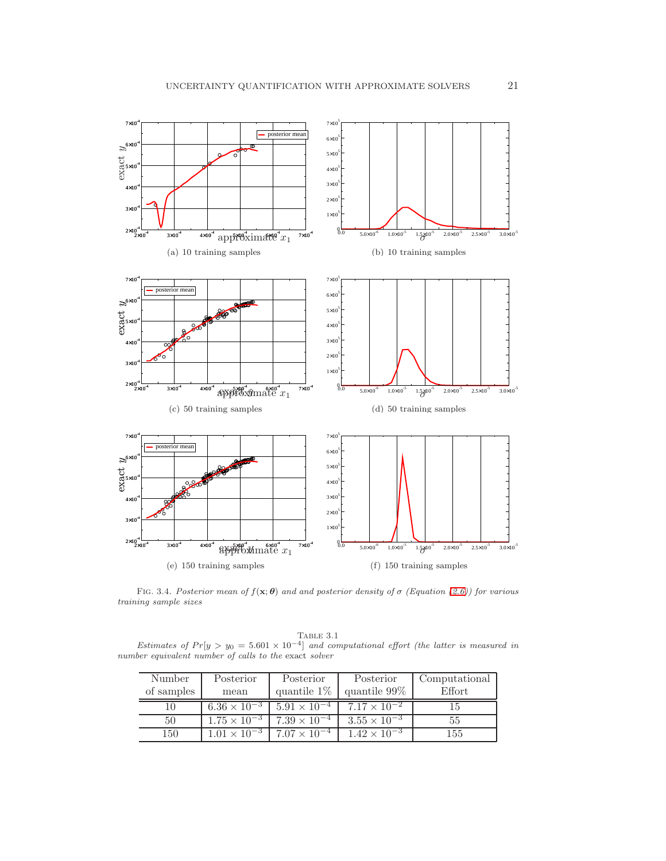

<span id="page-20-0"></span>FIG. 3.4. Posterior mean of  $f(\mathbf{x}; \theta)$  and and posterior density of  $\sigma$  (Equation [\(2.6\)](#page-4-0)) for various training sample sizes

TABLE 3.1 Estimates of  $Pr[y > y_0 = 5.601 \times 10^{-4}]$  and computational effort (the latter is measured in number equivalent number of calls to the exact solver

<span id="page-20-1"></span>

| Number     | Posterior             | Posterior             | Posterior             | Computational |
|------------|-----------------------|-----------------------|-----------------------|---------------|
| of samples | mean                  | quantile $1\%$        | quantile $99\%$       | <b>Effort</b> |
| 10         | $6.36 \times 10^{-3}$ | $5.91 \times 10^{-7}$ | $7.17 \times 10^{-2}$ | LЭ            |
| 50         | $1.75 \times 10^{-3}$ | $7.39 \times 10^{-4}$ | $3.55 \times 10^{-3}$ | 55            |
| 150        | $1.01 \times 10^{-3}$ | $7.07 \times 10^{-4}$ | $1.42 \times 10^{-3}$ | $155\,$       |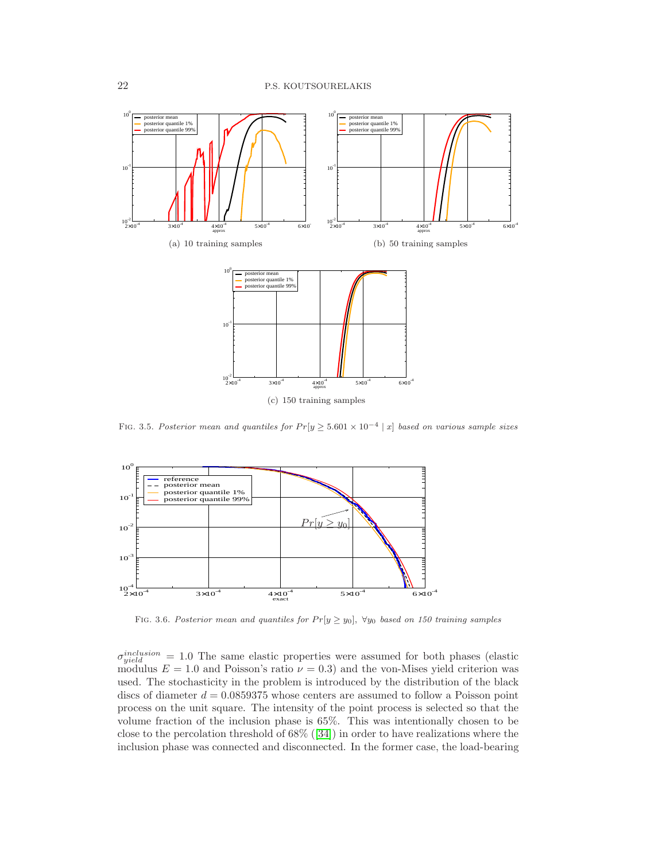

<span id="page-21-0"></span>FIG. 3.5. Posterior mean and quantiles for  $Pr[y \geq 5.601 \times 10^{-4} | x]$  based on various sample sizes



FIG. 3.6. Posterior mean and quantiles for  $Pr[y \ge y_0]$ ,  $\forall y_0$  based on 150 training samples

 $\sigma_{yield}^{inclusion} = 1.0$  The same elastic properties were assumed for both phases (elastic modulus  $E = 1.0$  and Poisson's ratio  $\nu = 0.3$ ) and the von-Mises yield criterion was used. The stochasticity in the problem is introduced by the distribution of the black discs of diameter  $d = 0.0859375$  whose centers are assumed to follow a Poisson point process on the unit square. The intensity of the point process is selected so that the volume fraction of the inclusion phase is 65%. This was intentionally chosen to be close to the percolation threshold of 68%([\[34\]](#page-26-30)) in order to have realizations where the inclusion phase was connected and disconnected. In the former case, the load-bearing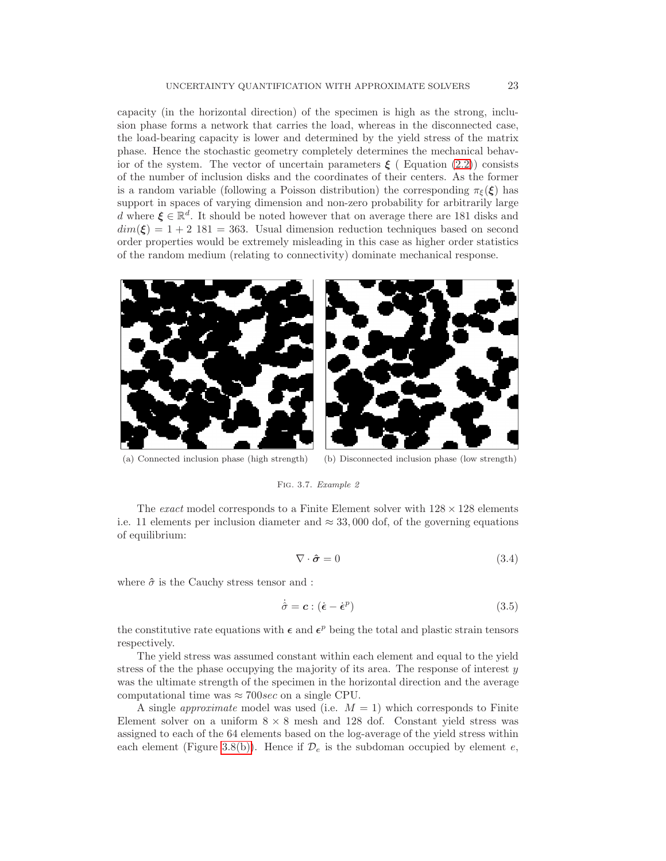capacity (in the horizontal direction) of the specimen is high as the strong, inclusion phase forms a network that carries the load, whereas in the disconnected case, the load-bearing capacity is lower and determined by the yield stress of the matrix phase. Hence the stochastic geometry completely determines the mechanical behavior of the system. The vector of uncertain parameters  $\xi$  (Equation [\(2.2\)](#page-2-1)) consists of the number of inclusion disks and the coordinates of their centers. As the former is a random variable (following a Poisson distribution) the corresponding  $\pi_{\xi}(\xi)$  has support in spaces of varying dimension and non-zero probability for arbitrarily large d where  $\xi \in \mathbb{R}^d$ . It should be noted however that on average there are 181 disks and  $dim(\mathbf{\xi}) = 1 + 2$  181 = 363. Usual dimension reduction techniques based on second order properties would be extremely misleading in this case as higher order statistics of the random medium (relating to connectivity) dominate mechanical response.



(a) Connected inclusion phase (high strength) (b) Disconnected inclusion phase (low strength)

### <span id="page-22-0"></span>FIG. 3.7. Example 2

The exact model corresponds to a Finite Element solver with  $128 \times 128$  elements i.e. 11 elements per inclusion diameter and  $\approx 33,000$  dof, of the governing equations of equilibrium:

$$
\nabla \cdot \hat{\boldsymbol{\sigma}} = 0 \tag{3.4}
$$

where  $\hat{\sigma}$  is the Cauchy stress tensor and :

$$
\dot{\hat{\sigma}} = \mathbf{c} : (\dot{\boldsymbol{\epsilon}} - \dot{\boldsymbol{\epsilon}}^p) \tag{3.5}
$$

the constitutive rate equations with  $\epsilon$  and  $\epsilon^p$  being the total and plastic strain tensors respectively.

The yield stress was assumed constant within each element and equal to the yield stress of the the phase occupying the majority of its area. The response of interest  $y$ was the ultimate strength of the specimen in the horizontal direction and the average computational time was  $\approx 700$ sec on a single CPU.

A single *approximate* model was used (i.e.  $M = 1$ ) which corresponds to Finite Element solver on a uniform  $8 \times 8$  mesh and 128 dof. Constant yield stress was assigned to each of the 64 elements based on the log-average of the yield stress within each element (Figure [3.8\(b\)\)](#page-23-0). Hence if  $\mathcal{D}_e$  is the subdoman occupied by element  $e$ ,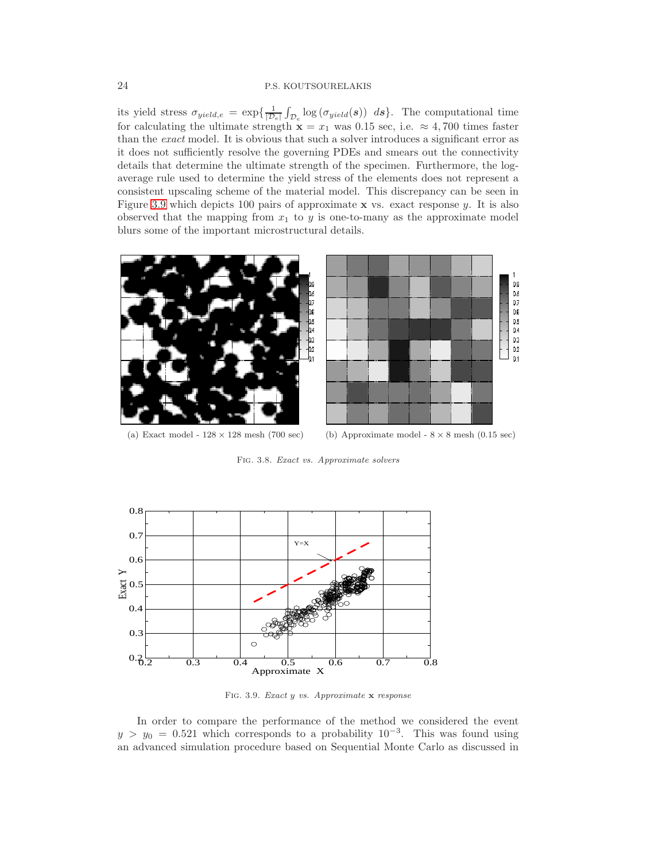its yield stress  $\sigma_{yield,e} = \exp\{\frac{1}{|\mathcal{D}|}\}$  $\frac{1}{|\mathcal{D}_e|} \int_{\mathcal{D}_e} \log (\sigma_{yield}(s)) ds \}.$  The computational time for calculating the ultimate strength  $\mathbf{x} = x_1$  was 0.15 sec, i.e.  $\approx 4,700$  times faster than the exact model. It is obvious that such a solver introduces a significant error as it does not sufficiently resolve the governing PDEs and smears out the connectivity details that determine the ultimate strength of the specimen. Furthermore, the logaverage rule used to determine the yield stress of the elements does not represent a consistent upscaling scheme of the material model. This discrepancy can be seen in Figure [3.9](#page-23-1) which depicts 100 pairs of approximate  $x$  vs. exact response  $y$ . It is also observed that the mapping from  $x_1$  to  $y$  is one-to-many as the approximate model blurs some of the important microstructural details.



(a) Exact model -  $128 \times 128$  mesh (700 sec) (b) Approximate model -  $8 \times 8$  mesh (0.15 sec)

<span id="page-23-0"></span>Fig. 3.8. Exact vs. Approximate solvers



<span id="page-23-1"></span>Fig. 3.9. Exact y vs. Approximate x response

In order to compare the performance of the method we considered the event  $y > y_0 = 0.521$  which corresponds to a probability  $10^{-3}$ . This was found using an advanced simulation procedure based on Sequential Monte Carlo as discussed in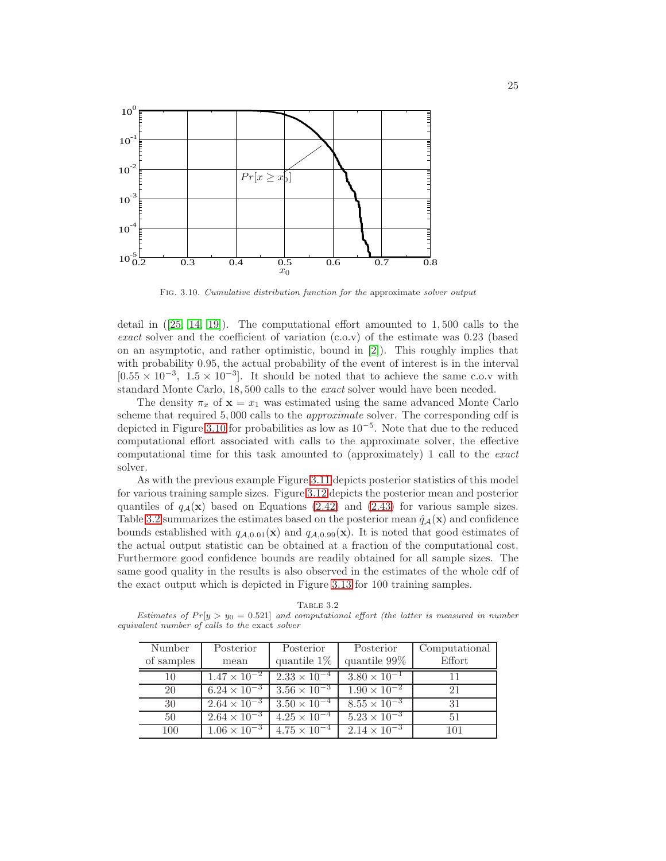

<span id="page-24-0"></span>Fig. 3.10. Cumulative distribution function for the approximate solver output

detailin  $(25, 14, 19)$  $(25, 14, 19)$  $(25, 14, 19)$ . The computational effort amounted to  $1,500$  calls to the exact solver and the coefficient of variation  $(c.o.v)$  of the estimate was 0.23 (based on an asymptotic, and rather optimistic, bound in [\[2\]](#page-25-0)). This roughly implies that with probability 0.95, the actual probability of the event of interest is in the interval  $[0.55 \times 10^{-3}, 1.5 \times 10^{-3}]$ . It should be noted that to achieve the same c.o.v with standard Monte Carlo, 18, 500 calls to the exact solver would have been needed.

The density  $\pi_x$  of  $\mathbf{x} = x_1$  was estimated using the same advanced Monte Carlo scheme that required 5, 000 calls to the approximate solver. The corresponding cdf is depicted in Figure [3.10](#page-24-0) for probabilities as low as 10−<sup>5</sup> . Note that due to the reduced computational effort associated with calls to the approximate solver, the effective computational time for this task amounted to (approximately) 1 call to the exact solver.

As with the previous example Figure [3.11](#page-28-0) depicts posterior statistics of this model for various training sample sizes. Figure [3.12](#page-29-0) depicts the posterior mean and posterior quantiles of  $q_{\mathcal{A}}(x)$  based on Equations [\(2.42\)](#page-15-1) and [\(2.43\)](#page-16-2) for various sample sizes. Table [3.2](#page-24-1) summarizes the estimates based on the posterior mean  $\hat{q}_A(\mathbf{x})$  and confidence bounds established with  $q_{A,0.01}(\mathbf{x})$  and  $q_{A,0.99}(\mathbf{x})$ . It is noted that good estimates of the actual output statistic can be obtained at a fraction of the computational cost. Furthermore good confidence bounds are readily obtained for all sample sizes. The same good quality in the results is also observed in the estimates of the whole cdf of the exact output which is depicted in Figure [3.13](#page-29-1) for 100 training samples.

Table 3.2 Estimates of  $Pr[y > y_0 = 0.521]$  and computational effort (the latter is measured in number equivalent number of calls to the exact solver

<span id="page-24-1"></span>

| Number<br>of samples | Posterior<br>mean     | Posterior<br>quantile $1\%$ | Posterior<br>quantile 99% | Computational<br>Effort |
|----------------------|-----------------------|-----------------------------|---------------------------|-------------------------|
| 10                   | $1.47 \times 10^{-2}$ | $2.33 \times 10^{-4}$       | $3.80 \times 10^{-1}$     |                         |
| 20                   | $6.24 \times 10^{-3}$ | $3.56 \times 10^{-3}$       | $1.90 \times 10^{-2}$     | 21                      |
| 30                   | $2.64 \times 10^{-3}$ | $3.50 \times 10^{-4}$       | $8.55 \times 10^{-3}$     | 31                      |
| 50                   | $2.64 \times 10^{-3}$ | $4.25 \times 10^{-4}$       | $5.23 \times 10^{-3}$     | 51                      |
| 100                  | $1.06 \times 10^{-3}$ | $4.75 \times 10^{-4}$       | $2.14 \times 10^{-3}$     | 101                     |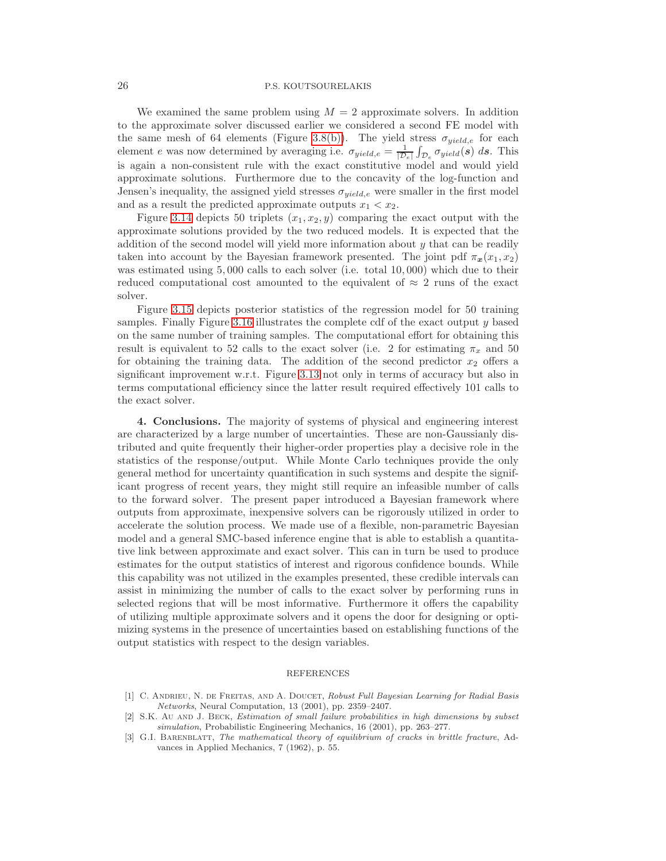We examined the same problem using  $M = 2$  approximate solvers. In addition to the approximate solver discussed earlier we considered a second FE model with the same mesh of 64 elements (Figure [3.8\(b\)\)](#page-23-0). The yield stress  $\sigma_{yield,e}$  for each element e was now determined by averaging i.e.  $\sigma_{yield,e} = \frac{1}{D}$  $\frac{1}{|\mathcal{D}_e|} \int_{\mathcal{D}_e} \sigma_{yield}(s) ds$ . This is again a non-consistent rule with the exact constitutive model and would yield approximate solutions. Furthermore due to the concavity of the log-function and Jensen's inequality, the assigned yield stresses  $\sigma_{yield,e}$  were smaller in the first model and as a result the predicted approximate outputs  $x_1 < x_2$ .

Figure [3.14](#page-30-0) depicts 50 triplets  $(x_1, x_2, y)$  comparing the exact output with the approximate solutions provided by the two reduced models. It is expected that the addition of the second model will yield more information about  $y$  that can be readily taken into account by the Bayesian framework presented. The joint pdf  $\pi_x(x_1, x_2)$ was estimated using 5,000 calls to each solver (i.e. total 10,000) which due to their reduced computational cost amounted to the equivalent of  $\approx 2$  runs of the exact solver.

Figure [3.15](#page-30-1) depicts posterior statistics of the regression model for 50 training samples. Finally Figure [3.16](#page-30-2) illustrates the complete cdf of the exact output y based on the same number of training samples. The computational effort for obtaining this result is equivalent to 52 calls to the exact solver (i.e. 2 for estimating  $\pi_x$  and 50 for obtaining the training data. The addition of the second predictor  $x_2$  offers a significant improvement w.r.t. Figure [3.13](#page-29-1) not only in terms of accuracy but also in terms computational efficiency since the latter result required effectively 101 calls to the exact solver.

4. Conclusions. The majority of systems of physical and engineering interest are characterized by a large number of uncertainties. These are non-Gaussianly distributed and quite frequently their higher-order properties play a decisive role in the statistics of the response/output. While Monte Carlo techniques provide the only general method for uncertainty quantification in such systems and despite the significant progress of recent years, they might still require an infeasible number of calls to the forward solver. The present paper introduced a Bayesian framework where outputs from approximate, inexpensive solvers can be rigorously utilized in order to accelerate the solution process. We made use of a flexible, non-parametric Bayesian model and a general SMC-based inference engine that is able to establish a quantitative link between approximate and exact solver. This can in turn be used to produce estimates for the output statistics of interest and rigorous confidence bounds. While this capability was not utilized in the examples presented, these credible intervals can assist in minimizing the number of calls to the exact solver by performing runs in selected regions that will be most informative. Furthermore it offers the capability of utilizing multiple approximate solvers and it opens the door for designing or optimizing systems in the presence of uncertainties based on establishing functions of the output statistics with respect to the design variables.

#### REFERENCES

- <span id="page-25-1"></span>[1] C. ANDRIEU, N. DE FREITAS, AND A. DOUCET, Robust Full Bayesian Learning for Radial Basis Networks, Neural Computation, 13 (2001), pp. 2359–2407.
- <span id="page-25-0"></span>[2] S.K. Au AND J. BECK, Estimation of small failure probabilities in high dimensions by subset simulation, Probabilistic Engineering Mechanics, 16 (2001), pp. 263–277.
- <span id="page-25-2"></span>[3] G.I. BARENBLATT, The mathematical theory of equilibrium of cracks in brittle fracture, Advances in Applied Mechanics, 7 (1962), p. 55.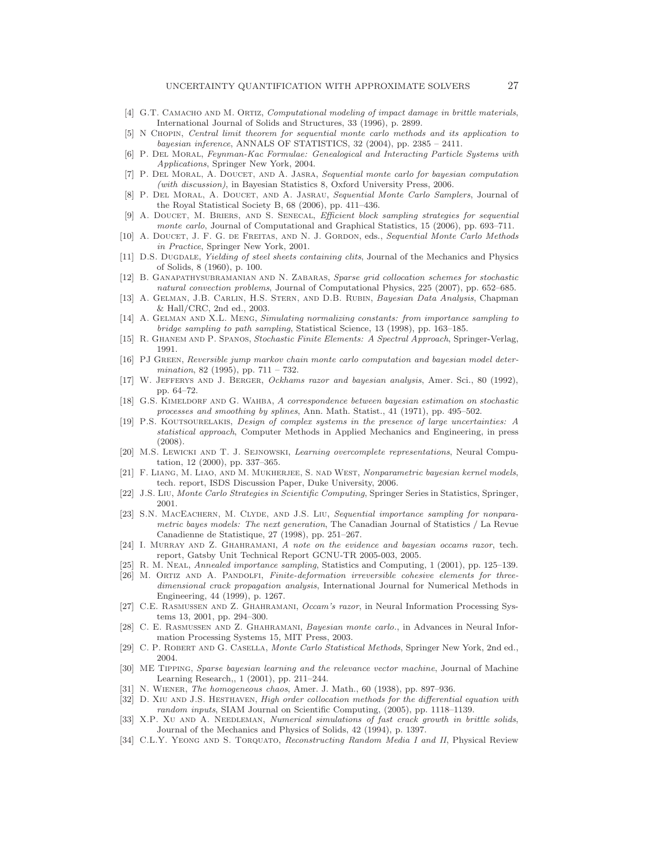- <span id="page-26-28"></span>[4] G.T. CAMACHO AND M. ORTIZ, Computational modeling of impact damage in brittle materials, International Journal of Solids and Structures, 33 (1996), p. 2899.
- <span id="page-26-23"></span>[5] N Chopin, Central limit theorem for sequential monte carlo methods and its application to bayesian inference, ANNALS OF STATISTICS, 32 (2004), pp. 2385 – 2411.
- <span id="page-26-22"></span>[6] P. Del Moral, Feynman-Kac Formulae: Genealogical and Interacting Particle Systems with Applications, Springer New York, 2004.
- <span id="page-26-21"></span>[7] P. Del Moral, A. Doucet, and A. Jasra, Sequential monte carlo for bayesian computation (with discussion), in Bayesian Statistics 8, Oxford University Press, 2006.
- <span id="page-26-20"></span>[8] P. DEL MORAL, A. DOUCET, AND A. JASRAU, Sequential Monte Carlo Samplers, Journal of the Royal Statistical Society B, 68 (2006), pp. 411–436.
- <span id="page-26-24"></span>[9] A. DOUCET, M. BRIERS, AND S. SENECAL, Efficient block sampling strategies for sequential monte carlo, Journal of Computational and Graphical Statistics, 15 (2006), pp. 693-711.
- <span id="page-26-19"></span>[10] A. DOUCET, J. F. G. DE FREITAS, AND N. J. GORDON, eds., Sequential Monte Carlo Methods in Practice, Springer New York, 2001.
- <span id="page-26-26"></span>[11] D.S. DUGDALE, Yielding of steel sheets containing clits, Journal of the Mechanics and Physics of Solids, 8 (1960), p. 100.
- <span id="page-26-3"></span>[12] B. Ganapathysubramanian and N. Zabaras, Sparse grid collocation schemes for stochastic natural convection problems, Journal of Computational Physics, 225 (2007), pp. 652–685.
- <span id="page-26-12"></span>[13] A. Gelman, J.B. Carlin, H.S. Stern, and D.B. Rubin, Bayesian Data Analysis, Chapman & Hall/CRC, 2nd ed., 2003.
- <span id="page-26-5"></span>[14] A. Gelman and X.L. Meng, Simulating normalizing constants: from importance sampling to bridge sampling to path sampling, Statistical Science, 13 (1998), pp. 163–185.
- <span id="page-26-25"></span><span id="page-26-1"></span>[15] R. Ghanem and P. Spanos, Stochastic Finite Elements: A Spectral Approach, Springer-Verlag, 1991.
- [16] PJ GREEN, Reversible jump markov chain monte carlo computation and bayesian model determination, 82 (1995), pp. 711 – 732.
- <span id="page-26-13"></span>[17] W. JEFFERYS AND J. BERGER, Ockhams razor and bayesian analysis, Amer. Sci., 80 (1992), pp. 64–72.
- <span id="page-26-10"></span>[18] G.S. KIMELDORF AND G. WAHBA, A correspondence between bayesian estimation on stochastic processes and smoothing by splines, Ann. Math. Statist., 41 (1971), pp. 495–502.
- <span id="page-26-7"></span>[19] P.S. Koutsourelakis, Design of complex systems in the presence of large uncertainties: A statistical approach, Computer Methods in Applied Mechanics and Engineering, in press (2008).
- <span id="page-26-11"></span>[20] M.S. LEWICKI AND T. J. SEJNOWSKI, Learning overcomplete representations, Neural Computation, 12 (2000), pp. 337–365.
- <span id="page-26-9"></span>[21] F. LIANG, M. LIAO, AND M. MUKHERJEE, S. NAD WEST, Nonparametric bayesian kernel models, tech. report, ISDS Discussion Paper, Duke University, 2006.
- <span id="page-26-18"></span><span id="page-26-16"></span>[22] J.S. Liu, Monte Carlo Strategies in Scientific Computing, Springer Series in Statistics, Springer, 2001.
- [23] S.N. MACEACHERN, M. CLYDE, AND J.S. LIU, Sequential importance sampling for nonparametric bayes models: The next generation, The Canadian Journal of Statistics / La Revue Canadienne de Statistique, 27 (1998), pp. 251–267.
- <span id="page-26-15"></span>[24] I. MURRAY AND Z. GHAHRAMANI, A note on the evidence and bayesian occams razor, tech. report, Gatsby Unit Technical Report GCNU-TR 2005-003, 2005.
- <span id="page-26-29"></span><span id="page-26-6"></span>[25] R. M. Neal, Annealed importance sampling, Statistics and Computing, 1 (2001), pp. 125–139.
- [26] M. ORTIZ AND A. PANDOLFI, Finite-deformation irreversible cohesive elements for threedimensional crack propagation analysis, International Journal for Numerical Methods in Engineering, 44 (1999), p. 1267.
- <span id="page-26-14"></span>[27] C.E. RASMUSSEN AND Z. GHAHRAMANI, Occam's razor, in Neural Information Processing Systems 13, 2001, pp. 294–300.
- <span id="page-26-4"></span>[28] C. E. Rasmussen and Z. Ghahramani, Bayesian monte carlo., in Advances in Neural Information Processing Systems 15, MIT Press, 2003.
- <span id="page-26-17"></span>[29] C. P. Robert and G. Casella, Monte Carlo Statistical Methods, Springer New York, 2nd ed., 2004.
- <span id="page-26-8"></span>[30] ME Tipping, Sparse bayesian learning and the relevance vector machine, Journal of Machine Learning Research,, 1 (2001), pp. 211–244.
- <span id="page-26-2"></span><span id="page-26-0"></span>[31] N. Wiener, The homogeneous chaos, Amer. J. Math., 60 (1938), pp. 897–936.
- [32] D. XIU AND J.S. HESTHAVEN, High order collocation methods for the differential equation with random inputs, SIAM Journal on Scientific Computing, (2005), pp. 1118–1139.
- <span id="page-26-27"></span>[33] X.P. XU AND A. NEEDLEMAN, Numerical simulations of fast crack growth in brittle solids, Journal of the Mechanics and Physics of Solids, 42 (1994), p. 1397.
- <span id="page-26-30"></span>[34] C.L.Y. YEONG AND S. TORQUATO, Reconstructing Random Media I and II, Physical Review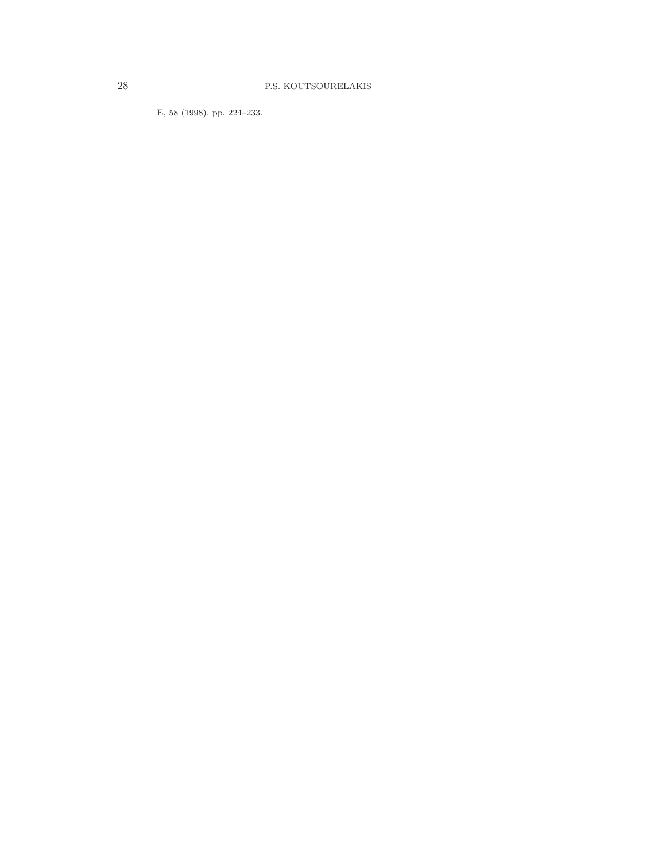E, 58 (1998), pp. 224–233.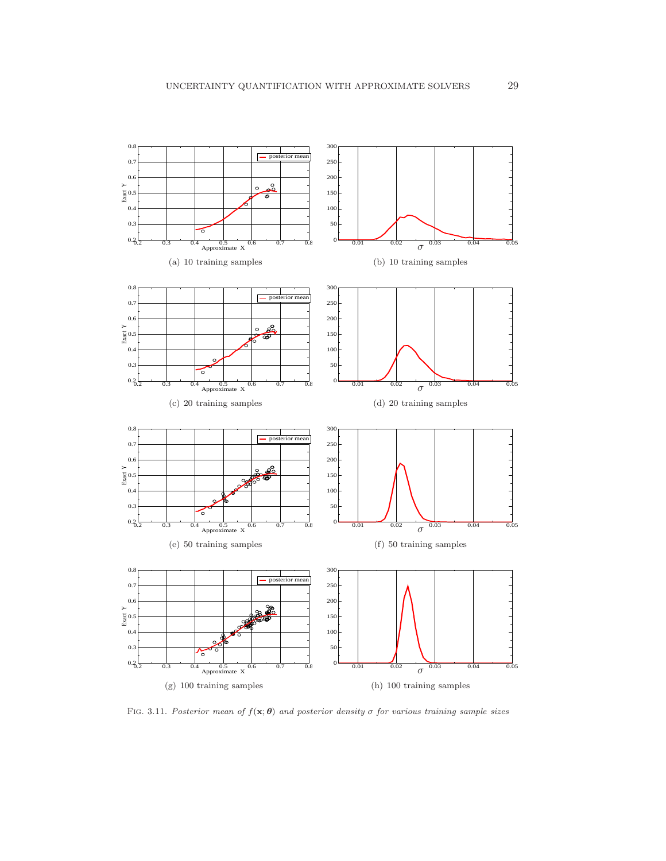

<span id="page-28-0"></span>FIG. 3.11. Posterior mean of  $f(\mathbf{x}; \theta)$  and posterior density  $\sigma$  for various training sample sizes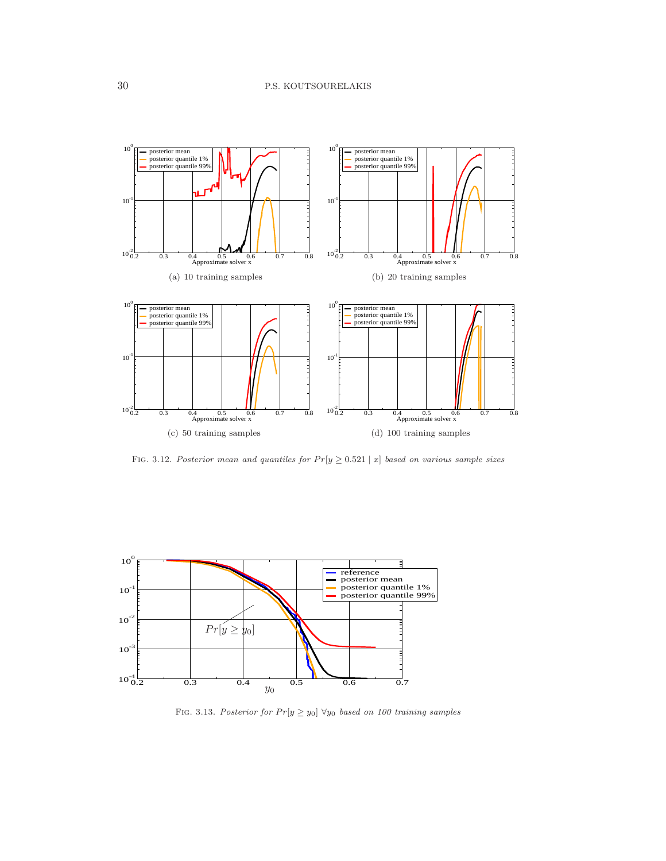

<span id="page-29-0"></span>FIG. 3.12. Posterior mean and quantiles for  $Pr[y \ge 0.521 | x]$  based on various sample sizes



<span id="page-29-1"></span>FIG. 3.13. Posterior for  $Pr[y \ge y_0] \ \forall y_0$  based on 100 training samples